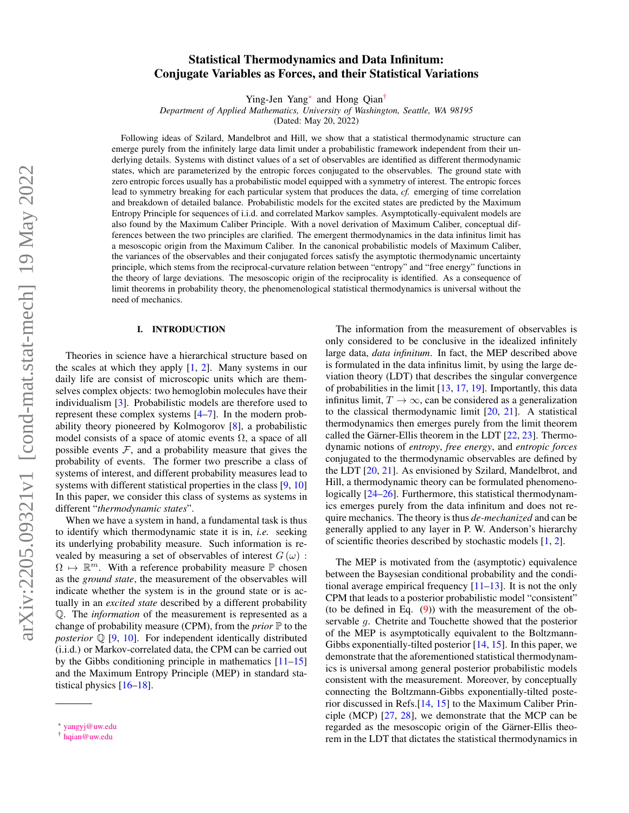# Statistical Thermodynamics and Data Infinitum: Conjugate Variables as Forces, and their Statistical Variations

Ying-Jen Yang[\\*](#page-0-0) and Hong Qian[†](#page-0-1)

*Department of Applied Mathematics, University of Washington, Seattle, WA 98195*

(Dated: May 20, 2022)

Following ideas of Szilard, Mandelbrot and Hill, we show that a statistical thermodynamic structure can emerge purely from the infinitely large data limit under a probabilistic framework independent from their underlying details. Systems with distinct values of a set of observables are identified as different thermodynamic states, which are parameterized by the entropic forces conjugated to the observables. The ground state with zero entropic forces usually has a probabilistic model equipped with a symmetry of interest. The entropic forces lead to symmetry breaking for each particular system that produces the data, *cf.* emerging of time correlation and breakdown of detailed balance. Probabilistic models for the excited states are predicted by the Maximum Entropy Principle for sequences of i.i.d. and correlated Markov samples. Asymptotically-equivalent models are also found by the Maximum Caliber Principle. With a novel derivation of Maximum Caliber, conceptual differences between the two principles are clarified. The emergent thermodynamics in the data infinitus limit has a mesoscopic origin from the Maximum Caliber. In the canonical probabilistic models of Maximum Caliber, the variances of the observables and their conjugated forces satisfy the asymptotic thermodynamic uncertainty principle, which stems from the reciprocal-curvature relation between "entropy" and "free energy" functions in the theory of large deviations. The mesoscopic origin of the reciprocality is identified. As a consequence of limit theorems in probability theory, the phenomenological statistical thermodynamics is universal without the need of mechanics.

#### I. INTRODUCTION

Theories in science have a hierarchical structure based on the scales at which they apply [\[1,](#page-14-0) [2\]](#page-14-1). Many systems in our daily life are consist of microscopic units which are themselves complex objects: two hemoglobin molecules have their individualism [\[3\]](#page-14-2). Probabilistic models are therefore used to represent these complex systems [\[4](#page-14-3)[–7\]](#page-14-4). In the modern probability theory pioneered by Kolmogorov [\[8\]](#page-14-5), a probabilistic model consists of a space of atomic events  $\Omega$ , a space of all possible events  $F$ , and a probability measure that gives the probability of events. The former two prescribe a class of systems of interest, and different probability measures lead to systems with different statistical properties in the class [\[9,](#page-14-6) [10\]](#page-14-7) In this paper, we consider this class of systems as systems in different "*thermodynamic states*".

When we have a system in hand, a fundamental task is thus to identify which thermodynamic state it is in, *i.e.* seeking its underlying probability measure. Such information is revealed by measuring a set of observables of interest  $G(\omega)$ :  $\Omega \mapsto \mathbb{R}^m$ . With a reference probability measure  $\mathbb P$  chosen as the *ground state*, the measurement of the observables will indicate whether the system is in the ground state or is actually in an *excited state* described by a different probability Q. The *information* of the measurement is represented as a change of probability measure (CPM), from the *prior*  $\mathbb P$  to the *posterior*  $\mathbb{Q}$  [\[9,](#page-14-6) [10\]](#page-14-7). For independent identically distributed (i.i.d.) or Markov-correlated data, the CPM can be carried out by the Gibbs conditioning principle in mathematics [\[11–](#page-14-8)[15\]](#page-14-9) and the Maximum Entropy Principle (MEP) in standard statistical physics [\[16–](#page-14-10)[18\]](#page-14-11).

The information from the measurement of observables is only considered to be conclusive in the idealized infinitely large data, *data infinitum*. In fact, the MEP described above is formulated in the data infinitus limit, by using the large deviation theory (LDT) that describes the singular convergence of probabilities in the limit [\[13,](#page-14-12) [17,](#page-14-13) [19\]](#page-14-14). Importantly, this data infinitus limit,  $T \to \infty$ , can be considered as a generalization to the classical thermodynamic limit [\[20,](#page-14-15) [21\]](#page-14-16). A statistical thermodynamics then emerges purely from the limit theorem called the Gärner-Ellis theorem in the LDT [\[22,](#page-14-17) [23\]](#page-14-18). Thermodynamic notions of *entropy*, *free energy*, and *entropic forces* conjugated to the thermodynamic observables are defined by the LDT [\[20,](#page-14-15) [21\]](#page-14-16). As envisioned by Szilard, Mandelbrot, and Hill, a thermodynamic theory can be formulated phenomenologically  $[24–26]$  $[24–26]$ . Furthermore, this statistical thermodynamics emerges purely from the data infinitum and does not require mechanics. The theory is thus *de-mechanized* and can be generally applied to any layer in P. W. Anderson's hierarchy of scientific theories described by stochastic models [\[1,](#page-14-0) [2\]](#page-14-1).

The MEP is motivated from the (asymptotic) equivalence between the Baysesian conditional probability and the conditional average empirical frequency  $[11–13]$  $[11–13]$ . It is not the only CPM that leads to a posterior probabilistic model "consistent" (to be defined in Eq.  $(9)$ ) with the measurement of the observable g. Chetrite and Touchette showed that the posterior of the MEP is asymptotically equivalent to the Boltzmann-Gibbs exponentially-tilted posterior [\[14,](#page-14-21) [15\]](#page-14-9). In this paper, we demonstrate that the aforementioned statistical thermodynamics is universal among general posterior probabilistic models consistent with the measurement. Moreover, by conceptually connecting the Boltzmann-Gibbs exponentially-tilted posterior discussed in Refs.[\[14,](#page-14-21) [15\]](#page-14-9) to the Maximum Caliber Principle (MCP) [\[27,](#page-14-22) [28\]](#page-14-23), we demonstrate that the MCP can be regarded as the mesoscopic origin of the Gärner-Ellis theorem in the LDT that dictates the statistical thermodynamics in

<span id="page-0-0"></span><sup>\*</sup> [yangyj@uw.edu](mailto:yangyj@uw.edu)

<span id="page-0-1"></span><sup>†</sup> [hqian@uw.edu](mailto:hqian@uw.edu)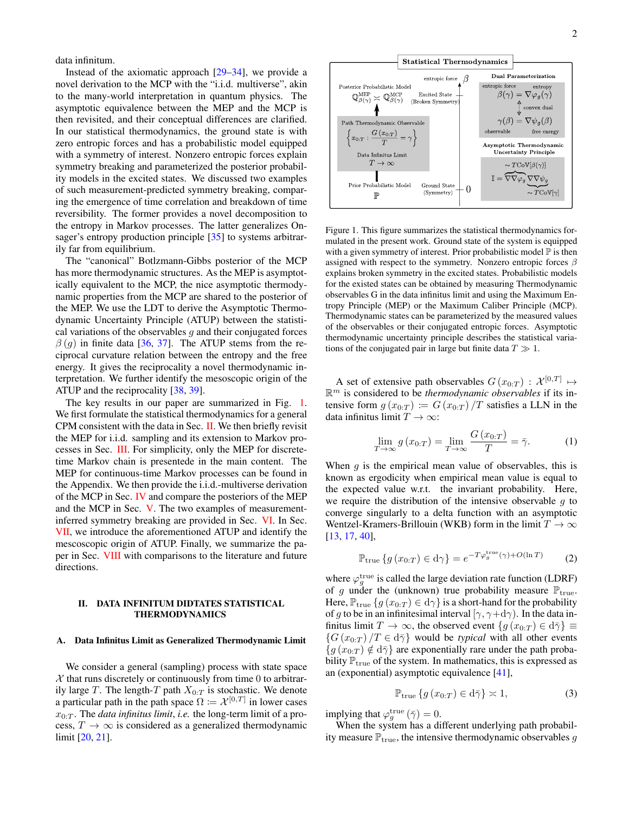data infinitum.

Instead of the axiomatic approach  $[29-34]$  $[29-34]$ , we provide a novel derivation to the MCP with the "i.i.d. multiverse", akin to the many-world interpretation in quantum physics. The asymptotic equivalence between the MEP and the MCP is then revisited, and their conceptual differences are clarified. In our statistical thermodynamics, the ground state is with zero entropic forces and has a probabilistic model equipped with a symmetry of interest. Nonzero entropic forces explain symmetry breaking and parameterized the posterior probability models in the excited states. We discussed two examples of such measurement-predicted symmetry breaking, comparing the emergence of time correlation and breakdown of time reversibility. The former provides a novel decomposition to the entropy in Markov processes. The latter generalizes On-sager's entropy production principle [\[35\]](#page-14-26) to systems arbitrarily far from equilibrium.

The "canonical" Botlzmann-Gibbs posterior of the MCP has more thermodynamic structures. As the MEP is asymptotically equivalent to the MCP, the nice asymptotic thermodynamic properties from the MCP are shared to the posterior of the MEP. We use the LDT to derive the Asymptotic Thermodynamic Uncertainty Principle (ATUP) between the statistical variations of the observables  $g$  and their conjugated forces  $\beta$  (g) in finite data [\[36,](#page-14-27) [37\]](#page-14-28). The ATUP stems from the reciprocal curvature relation between the entropy and the free energy. It gives the reciprocality a novel thermodynamic interpretation. We further identify the mesoscopic origin of the ATUP and the reciprocality [\[38,](#page-14-29) [39\]](#page-14-30).

The key results in our paper are summarized in Fig. [1.](#page-1-0) We first formulate the statistical thermodynamics for a general CPM consistent with the data in Sec. [II.](#page-1-1) We then briefly revisit the MEP for i.i.d. sampling and its extension to Markov processes in Sec. [III.](#page-3-0) For simplicity, only the MEP for discretetime Markov chain is presentede in the main content. The MEP for continuous-time Markov processes can be found in the Appendix. We then provide the i.i.d.-multiverse derivation of the MCP in Sec. [IV](#page-5-0) and compare the posteriors of the MEP and the MCP in Sec. [V.](#page-7-0) The two examples of measurementinferred symmetry breaking are provided in Sec. [VI.](#page-8-0) In Sec. [VII,](#page-9-0) we introduce the aforementioned ATUP and identify the mescoscopic origin of ATUP. Finally, we summarize the paper in Sec. [VIII](#page-11-0) with comparisons to the literature and future directions.

### <span id="page-1-1"></span>II. DATA INFINITUM DIDTATES STATISTICAL THERMODYNAMICS

#### A. Data Infinitus Limit as Generalized Thermodynamic Limit

We consider a general (sampling) process with state space  $X$  that runs discretely or continuously from time 0 to arbitrarily large T. The length-T path  $X_{0:T}$  is stochastic. We denote a particular path in the path space  $\Omega = \mathcal{X}^{[0,T]}$  in lower cases  $x_{0:T}$ . The *data infinitus limit*, *i.e.* the long-term limit of a process,  $T \to \infty$  is considered as a generalized thermodynamic limit [\[20,](#page-14-15) [21\]](#page-14-16).



<span id="page-1-0"></span>Figure 1. This figure summarizes the statistical thermodynamics formulated in the present work. Ground state of the system is equipped with a given symmetry of interest. Prior probabilistic model  $\mathbb P$  is then assigned with respect to the symmetry. Nonzero entropic forces  $\beta$ explains broken symmetry in the excited states. Probabilistic models for the existed states can be obtained by measuring Thermodynamic observables G in the data infinitus limit and using the Maximum Entropy Principle (MEP) or the Maximum Caliber Principle (MCP). Thermodynamic states can be parameterized by the measured values of the observables or their conjugated entropic forces. Asymptotic thermodynamic uncertainty principle describes the statistical variations of the conjugated pair in large but finite data  $T \gg 1$ .

A set of extensive path observables  $G(x_{0:T}) : \mathcal{X}^{[0,T]} \mapsto$ R <sup>m</sup> is considered to be *thermodynamic observables* if its intensive form  $g(x_{0:T}) := G(x_{0:T})/T$  satisfies a LLN in the data infinitus limit  $T \to \infty$ :

$$
\lim_{T \to \infty} g(x_{0:T}) = \lim_{T \to \infty} \frac{G(x_{0:T})}{T} = \bar{\gamma}.
$$
 (1)

When  $q$  is the empirical mean value of observables, this is known as ergodicity when empirical mean value is equal to the expected value w.r.t. the invariant probability. Here, we require the distribution of the intensive observable  $q$  to converge singularly to a delta function with an asymptotic Wentzel-Kramers-Brillouin (WKB) form in the limit  $T \to \infty$ [\[13,](#page-14-12) [17,](#page-14-13) [40\]](#page-14-31),

$$
\mathbb{P}_{\text{true}}\left\{g\left(x_{0:T}\right) \in \text{d}\gamma\right\} = e^{-T\varphi_g^{\text{true}}(\gamma) + O(\ln T)}\tag{2}
$$

where  $\varphi_g^{\text{true}}$  is called the large deviation rate function (LDRF) of g under the (unknown) true probability measure  $\mathbb{P}_{true}$ . Here,  $\mathbb{P}_{\text{true}}\left\{g\left(x_{0:T}\right) \in \mathrm{d}\gamma\right\}$  is a short-hand for the probability of g to be in an infinitesimal interval  $[\gamma, \gamma + d\gamma)$ . In the data infinitus limit  $T \to \infty$ , the observed event  $\{g(x_{0:T}) \in d\overline{\gamma}\}\equiv$  ${G(x_{0:T})}/{T \in d\bar{\gamma}}$  would be *typical* with all other events  ${g(x_{0:T}) \notin d\bar{\gamma}}$  are exponentially rare under the path probability  $\mathbb{P}_{true}$  of the system. In mathematics, this is expressed as an (exponential) asymptotic equivalence [\[41\]](#page-14-32),

$$
\mathbb{P}_{\text{true}}\left\{g\left(x_{0:T}\right) \in \mathrm{d}\bar{\gamma}\right\} \asymp 1,\tag{3}
$$

implying that  $\varphi_g^{\text{true}}(\bar{\gamma}) = 0$ .

When the system has a different underlying path probability measure  $\mathbb{P}_{true}$ , the intensive thermodynamic observables g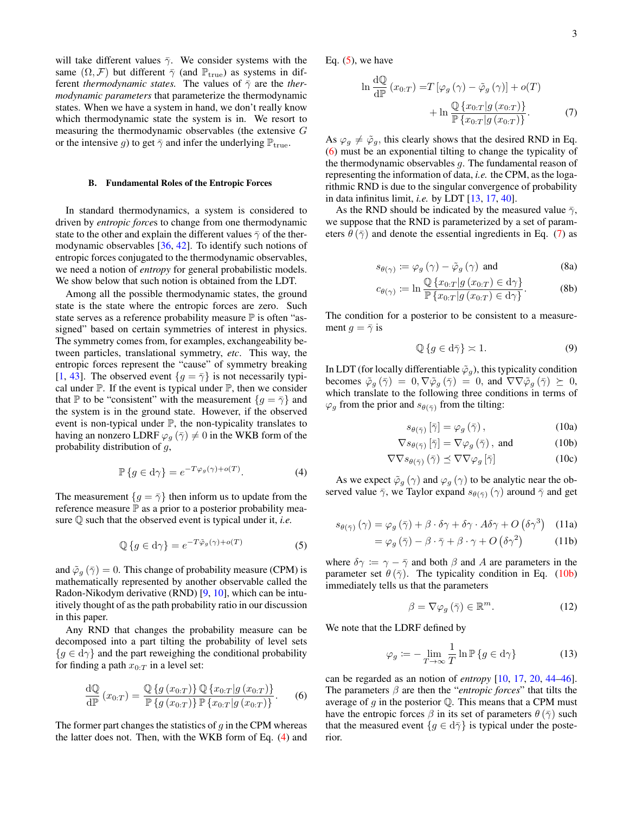will take different values  $\bar{\gamma}$ . We consider systems with the same  $(\Omega, \mathcal{F})$  but different  $\bar{\gamma}$  (and  $\mathbb{P}_{true}$ ) as systems in different *thermodynamic states*. The values of  $\bar{\gamma}$  are the *thermodynamic parameters* that parameterize the thermodynamic states. When we have a system in hand, we don't really know which thermodynamic state the system is in. We resort to measuring the thermodynamic observables (the extensive G or the intensive g) to get  $\bar{\gamma}$  and infer the underlying  $\mathbb{P}_{true}$ .

#### B. Fundamental Roles of the Entropic Forces

In standard thermodynamics, a system is considered to driven by *entropic force*s to change from one thermodynamic state to the other and explain the different values  $\bar{\gamma}$  of the thermodynamic observables [\[36,](#page-14-27) [42\]](#page-14-33). To identify such notions of entropic forces conjugated to the thermodynamic observables, we need a notion of *entropy* for general probabilistic models. We show below that such notion is obtained from the LDT.

Among all the possible thermodynamic states, the ground state is the state where the entropic forces are zero. Such state serves as a reference probability measure  $\mathbb P$  is often "assigned" based on certain symmetries of interest in physics. The symmetry comes from, for examples, exchangeability between particles, translational symmetry, *etc*. This way, the entropic forces represent the "cause" of symmetry breaking [\[1,](#page-14-0) [43\]](#page-14-34). The observed event  $\{g = \overline{\gamma}\}\$ is not necessarily typical under  $P$ . If the event is typical under  $P$ , then we consider that P to be "consistent" with the measurement  $\{g = \overline{\gamma}\}\$  and the system is in the ground state. However, if the observed event is non-typical under  $P$ , the non-typicality translates to having an nonzero LDRF  $\varphi_g(\bar{\gamma}) \neq 0$  in the WKB form of the probability distribution of g,

<span id="page-2-1"></span>
$$
\mathbb{P}\left\{g \in \mathbf{d}\gamma\right\} = e^{-T\varphi_g(\gamma) + o(T)}.\tag{4}
$$

The measurement  ${g = \bar{\gamma}}$  then inform us to update from the reference measure  $\mathbb P$  as a prior to a posterior probability measure Q such that the observed event is typical under it, *i.e.*

<span id="page-2-2"></span>
$$
\mathbb{Q}\left\{g \in \mathbf{d}\gamma\right\} = e^{-T\tilde{\varphi}_g(\gamma) + o(T)}\tag{5}
$$

and  $\tilde{\varphi}_g(\bar{\gamma}) = 0$ . This change of probability measure (CPM) is mathematically represented by another observable called the Radon-Nikodym derivative (RND) [\[9,](#page-14-6) [10\]](#page-14-7), which can be intuitively thought of as the path probability ratio in our discussion in this paper.

Any RND that changes the probability measure can be decomposed into a part tilting the probability of level sets  ${g \in d\gamma}$  and the part reweighing the conditional probability for finding a path  $x_{0:T}$  in a level set:

<span id="page-2-3"></span>
$$
\frac{\mathrm{d}\mathbb{Q}}{\mathrm{d}\mathbb{P}}\left(x_{0:T}\right) = \frac{\mathbb{Q}\left\{g\left(x_{0:T}\right)\right\}\mathbb{Q}\left\{x_{0:T}\middle|g\left(x_{0:T}\right)\right\}}{\mathbb{P}\left\{g\left(x_{0:T}\right)\right\}\mathbb{P}\left\{x_{0:T}\middle|g\left(x_{0:T}\right)\right\}}.\tag{6}
$$

The former part changes the statistics of  $q$  in the CPM whereas the latter does not. Then, with the WKB form of Eq. [\(4\)](#page-2-1) and Eq.  $(5)$ , we have

<span id="page-2-4"></span>
$$
\ln \frac{dQ}{dP} (x_{0:T}) = T [\varphi_g (\gamma) - \tilde{\varphi}_g (\gamma)] + o(T)
$$

$$
+ \ln \frac{Q \{x_{0:T} | g (x_{0:T})\}}{P \{x_{0:T} | g (x_{0:T})\}}.
$$
 (7)

As  $\varphi_g \neq \tilde{\varphi}_g$ , this clearly shows that the desired RND in Eq. [\(6\)](#page-2-3) must be an exponential tilting to change the typicality of the thermodynamic observables  $g$ . The fundamental reason of representing the information of data, *i.e.* the CPM, as the logarithmic RND is due to the singular convergence of probability in data infinitus limit, *i.e.* by LDT [\[13,](#page-14-12) [17,](#page-14-13) [40\]](#page-14-31).

As the RND should be indicated by the measured value  $\bar{\gamma}$ , we suppose that the RND is parameterized by a set of parameters  $\theta(\bar{\gamma})$  and denote the essential ingredients in Eq. [\(7\)](#page-2-4) as

$$
s_{\theta(\gamma)} \coloneqq \varphi_g(\gamma) - \tilde{\varphi}_g(\gamma) \text{ and } (8a)
$$

$$
c_{\theta(\gamma)} := \ln \frac{\mathbb{Q}\left\{x_{0:T} | g\left(x_{0:T}\right) \in \mathbf{d}\gamma\right\}}{\mathbb{P}\left\{x_{0:T} | g\left(x_{0:T}\right) \in \mathbf{d}\gamma\right\}}.
$$
\n(8b)

The condition for a posterior to be consistent to a measurement  $q = \overline{\gamma}$  is

<span id="page-2-0"></span>
$$
\mathbb{Q}\left\{g \in \mathrm{d}\bar{\gamma}\right\} \asymp 1. \tag{9}
$$

In LDT (for locally differentiable  $\tilde{\varphi}_g$ ), this typicality condition becomes  $\tilde{\varphi}_q(\bar{\gamma}) = 0$ ,  $\nabla \tilde{\varphi}_q(\bar{\gamma}) = 0$ , and  $\nabla \nabla \tilde{\varphi}_q(\bar{\gamma}) \succeq 0$ , which translate to the following three conditions in terms of  $\varphi_g$  from the prior and  $s_{\theta(\bar{\gamma})}$  from the tilting:

<span id="page-2-5"></span>
$$
s_{\theta(\bar{\gamma})} [\bar{\gamma}] = \varphi_g(\bar{\gamma}), \qquad (10a)
$$

$$
\nabla s_{\theta(\bar{\gamma})} [\bar{\gamma}] = \nabla \varphi_g (\bar{\gamma}), \text{ and } (10b)
$$

$$
\nabla \nabla s_{\theta(\bar{\gamma})} (\bar{\gamma}) \preceq \nabla \nabla \varphi_g [\bar{\gamma}] \tag{10c}
$$

As we expect  $\tilde{\varphi}_g(\gamma)$  and  $\varphi_g(\gamma)$  to be analytic near the observed value  $\bar{\gamma}$ , we Taylor expand  $s_{\theta(\bar{\gamma})}(\gamma)$  around  $\bar{\gamma}$  and get

$$
s_{\theta(\bar{\gamma})}(\gamma) = \varphi_g(\bar{\gamma}) + \beta \cdot \delta \gamma + \delta \gamma \cdot A \delta \gamma + O\left(\delta \gamma^3\right) \quad (11a)
$$

$$
= \varphi_g(\bar{\gamma}) - \beta \cdot \bar{\gamma} + \beta \cdot \gamma + O\left(\delta \gamma^2\right) \tag{11b}
$$

where  $\delta \gamma := \gamma - \overline{\gamma}$  and both  $\beta$  and A are parameters in the parameter set  $\theta(\bar{\gamma})$ . The typicality condition in Eq. [\(10b\)](#page-2-5) immediately tells us that the parameters

<span id="page-2-6"></span>
$$
\beta = \nabla \varphi_g \left( \bar{\gamma} \right) \in \mathbb{R}^m. \tag{12}
$$

We note that the LDRF defined by

$$
\varphi_g := -\lim_{T \to \infty} \frac{1}{T} \ln \mathbb{P} \{ g \in \mathrm{d}\gamma \} \tag{13}
$$

can be regarded as an notion of *entropy* [\[10,](#page-14-7) [17,](#page-14-13) [20,](#page-14-15) [44](#page-14-35)[–46\]](#page-14-36). The parameters β are then the "*entropic forces*" that tilts the average of  $q$  in the posterior  $\mathbb Q$ . This means that a CPM must have the entropic forces  $\beta$  in its set of parameters  $\theta(\bar{\gamma})$  such that the measured event  ${g \in d\bar{\gamma}}$  is typical under the posterior.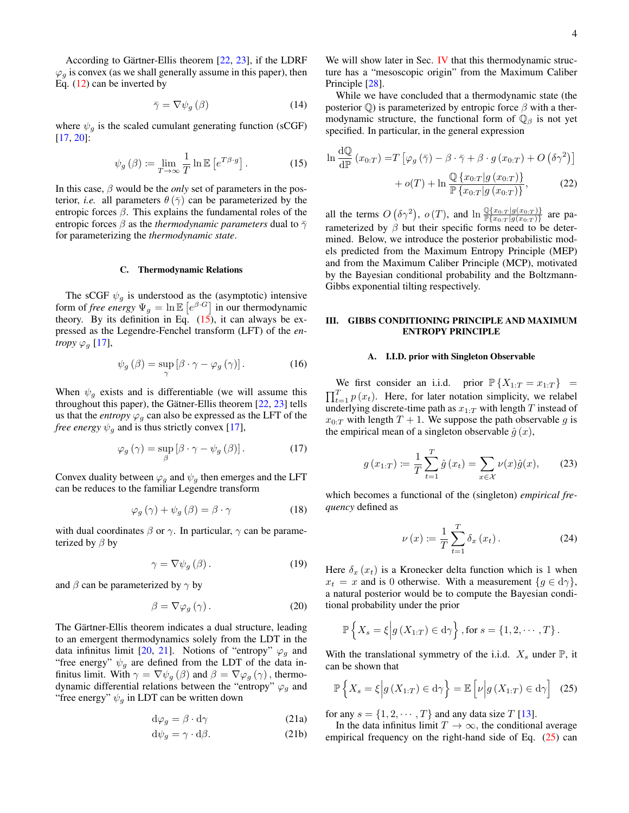According to Gärtner-Ellis theorem [\[22,](#page-14-17) [23\]](#page-14-18), if the LDRF  $\varphi_g$  is convex (as we shall generally assume in this paper), then Eq. [\(12\)](#page-2-6) can be inverted by

$$
\bar{\gamma} = \nabla \psi_g \left( \beta \right) \tag{14}
$$

where  $\psi_g$  is the scaled cumulant generating function (sCGF) [\[17,](#page-14-13) [20\]](#page-14-15):

<span id="page-3-1"></span>
$$
\psi_g(\beta) \coloneqq \lim_{T \to \infty} \frac{1}{T} \ln \mathbb{E} \left[ e^{T\beta \cdot g} \right]. \tag{15}
$$

In this case,  $\beta$  would be the *only* set of parameters in the posterior, *i.e.* all parameters  $\theta(\bar{\gamma})$  can be parameterized by the entropic forces  $\beta$ . This explains the fundamental roles of the entropic forces  $\beta$  as the *thermodynamic parameters* dual to  $\bar{\gamma}$ for parameterizing the *thermodynamic state*.

#### C. Thermodynamic Relations

The sCGF  $\psi_g$  is understood as the (asymptotic) intensive form of *free energy*  $\Psi_g = \ln \mathbb{E} \left[ e^{\beta \cdot G} \right]$  in our thermodynamic theory. By its definition in Eq.  $(15)$ , it can always be expressed as the Legendre-Fenchel transform (LFT) of the *entropy*  $\varphi_g$  [\[17\]](#page-14-13),

$$
\psi_g(\beta) = \sup_{\gamma} \left[ \beta \cdot \gamma - \varphi_g(\gamma) \right]. \tag{16}
$$

When  $\psi_q$  exists and is differentiable (we will assume this throughout this paper), the Gätner-Ellis theorem [\[22,](#page-14-17) [23\]](#page-14-18) tells us that the *entropy*  $\varphi_q$  can also be expressed as the LFT of the *free energy*  $\psi_q$  and is thus strictly convex [\[17\]](#page-14-13),

<span id="page-3-5"></span>
$$
\varphi_g\left(\gamma\right) = \sup_{\beta} \left[\beta \cdot \gamma - \psi_g\left(\beta\right)\right].\tag{17}
$$

Convex duality between  $\varphi_q$  and  $\psi_q$  then emerges and the LFT can be reduces to the familiar Legendre transform

$$
\varphi_g(\gamma) + \psi_g(\beta) = \beta \cdot \gamma \tag{18}
$$

with dual coordinates  $\beta$  or  $\gamma$ . In particular,  $\gamma$  can be parameterized by  $\beta$  by

$$
\gamma = \nabla \psi_g \left( \beta \right). \tag{19}
$$

and  $\beta$  can be parameterized by  $\gamma$  by

$$
\beta = \nabla \varphi_g \left( \gamma \right). \tag{20}
$$

The Gärtner-Ellis theorem indicates a dual structure, leading to an emergent thermodynamics solely from the LDT in the data infinitus limit [\[20,](#page-14-15) [21\]](#page-14-16). Notions of "entropy"  $\varphi_q$  and "free energy"  $\psi_q$  are defined from the LDT of the data infinitus limit. With  $\gamma = \nabla \psi_g(\beta)$  and  $\beta = \nabla \varphi_g(\gamma)$ , thermodynamic differential relations between the "entropy"  $\varphi_g$  and "free energy"  $\psi_g$  in LDT can be written down"

$$
\mathrm{d}\varphi_g = \beta \cdot \mathrm{d}\gamma \tag{21a}
$$

$$
d\psi_g = \gamma \cdot d\beta. \tag{21b}
$$

We will show later in Sec. [IV](#page-5-0) that this thermodynamic structure has a "mesoscopic origin" from the Maximum Caliber Principle [\[28\]](#page-14-23).

While we have concluded that a thermodynamic state (the posterior  $\mathbb Q$ ) is parameterized by entropic force  $\beta$  with a thermodynamic structure, the functional form of  $\mathbb{Q}_\beta$  is not yet specified. In particular, in the general expression

<span id="page-3-3"></span>
$$
\ln \frac{d\mathbb{Q}}{d\mathbb{P}} (x_{0:T}) = T [\varphi_g(\bar{\gamma}) - \beta \cdot \bar{\gamma} + \beta \cdot g (x_{0:T}) + O (\delta \gamma^2)]
$$

$$
+ o(T) + \ln \frac{\mathbb{Q} \{x_{0:T} | g (x_{0:T})\}}{\mathbb{P} \{x_{0:T} | g (x_{0:T})\}},
$$
(22)

all the terms  $O(\delta \gamma^2)$ ,  $o(T)$ , and  $\ln \frac{\mathbb{Q}\{x_{0:T} | g(x_{0:T})\}}{\mathbb{P}\{x_{0:T} | g(x_{0:T})\}}$  are parameterized by  $\beta$  but their specific forms need to be determined. Below, we introduce the posterior probabilistic models predicted from the Maximum Entropy Principle (MEP) and from the Maximum Caliber Principle (MCP), motivated by the Bayesian conditional probability and the Boltzmann-Gibbs exponential tilting respectively.

### <span id="page-3-0"></span>III. GIBBS CONDITIONING PRINCIPLE AND MAXIMUM ENTROPY PRINCIPLE

#### A. I.I.D. prior with Singleton Observable

We first consider an i.i.d. prior  $\mathbb{P}\{X_{1:T} = x_{1:T}\} =$  $\prod_{t=1}^{T} p(x_t)$ . Here, for later notation simplicity, we relabel underlying discrete-time path as  $x_{1:T}$  with length T instead of  $x_{0:T}$  with length  $T + 1$ . We suppose the path observable q is the empirical mean of a singleton observable  $\hat{g}(x)$ ,

$$
g(x_{1:T}) \coloneqq \frac{1}{T} \sum_{t=1}^{T} \hat{g}(x_t) = \sum_{x \in \mathcal{X}} \nu(x)\hat{g}(x), \quad (23)
$$

which becomes a functional of the (singleton) *empirical frequency* defined as

$$
\nu(x) \coloneqq \frac{1}{T} \sum_{t=1}^{T} \delta_x(x_t). \tag{24}
$$

Here  $\delta_x(x_t)$  is a Kronecker delta function which is 1 when  $x_t = x$  and is 0 otherwise. With a measurement  $\{g \in d\gamma\},\$ a natural posterior would be to compute the Bayesian conditional probability under the prior

$$
\mathbb{P}\left\{X_s = \xi \middle| g\left(X_{1:T}\right) \in \mathrm{d}\gamma\right\}, \text{for } s = \{1, 2, \cdots, T\}.
$$

With the translational symmetry of the i.i.d.  $X_s$  under  $\mathbb{P}$ , it can be shown that

<span id="page-3-2"></span>
$$
\mathbb{P}\left\{X_s = \xi \middle| g\left(X_{1:T}\right) \in \mathrm{d}\gamma \right\} = \mathbb{E}\left[\nu \middle| g\left(X_{1:T}\right) \in \mathrm{d}\gamma\right] \tag{25}
$$

<span id="page-3-4"></span>for any  $s = \{1, 2, \dots, T\}$  and any data size T [\[13\]](#page-14-12).

In the data infinitus limit  $T \to \infty$ , the conditional average empirical frequency on the right-hand side of Eq. [\(25\)](#page-3-2) can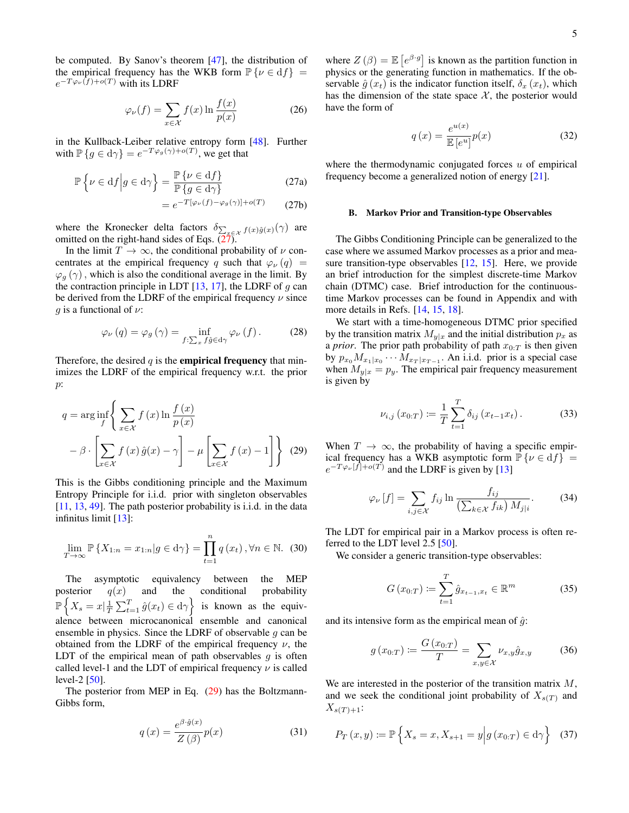be computed. By Sanov's theorem [\[47\]](#page-14-37), the distribution of the empirical frequency has the WKB form  $\mathbb{P}\{\nu \in df\}$  =  $e^{-T\varphi_{\nu}(f)+o(T)}$  with its LDRF

$$
\varphi_{\nu}(f) = \sum_{x \in \mathcal{X}} f(x) \ln \frac{f(x)}{p(x)} \tag{26}
$$

in the Kullback-Leiber relative entropy form [\[48\]](#page-15-0). Further with  $\mathbb{P}\left\{g \in \mathrm{d}\gamma\right\} = e^{-T\varphi_g(\gamma) + o(T)},$  we get that

$$
\mathbb{P}\left\{\nu \in df \middle| g \in d\gamma\right\} = \frac{\mathbb{P}\left\{\nu \in df\right\}}{\mathbb{P}\left\{g \in d\gamma\right\}}\tag{27a}
$$

$$
= e^{-T[\varphi_{\nu}(f) - \varphi_g(\gamma)] + o(T)} \qquad (27b)
$$

where the Kronecker delta factors  $\delta_{\sum_{x \in \mathcal{X}} f(x)\hat{g}(x)}(\gamma)$  are omitted on the right-hand sides of Eqs.  $(27)$ .

 $=$ 

In the limit  $T \to \infty$ , the conditional probability of  $\nu$  concentrates at the empirical frequency q such that  $\varphi_{\nu}(q)$  =  $\varphi_q(\gamma)$ , which is also the conditional average in the limit. By the contraction principle in LDT  $[13, 17]$  $[13, 17]$  $[13, 17]$ , the LDRF of g can be derived from the LDRF of the empirical frequency  $\nu$  since g is a functional of  $\nu$ :

$$
\varphi_{\nu}(q) = \varphi_{g}(\gamma) = \inf_{f:\sum_{x} f\hat{g} \in d\gamma} \varphi_{\nu}(f). \tag{28}
$$

Therefore, the desired  $q$  is the **empirical frequency** that minimizes the LDRF of the empirical frequency w.r.t. the prior p:

$$
q = \arg\inf_{f} \left\{ \sum_{x \in \mathcal{X}} f(x) \ln \frac{f(x)}{p(x)} - \beta \cdot \left[ \sum_{x \in \mathcal{X}} f(x) \hat{g}(x) - \gamma \right] - \mu \left[ \sum_{x \in \mathcal{X}} f(x) - 1 \right] \right\}
$$
(29)

This is the Gibbs conditioning principle and the Maximum Entropy Principle for i.i.d. prior with singleton observables [\[11,](#page-14-8) [13,](#page-14-12) [49\]](#page-15-1). The path posterior probability is i.i.d. in the data infinitus limit [\[13\]](#page-14-12):

$$
\lim_{T \to \infty} \mathbb{P}\left\{X_{1:n} = x_{1:n} | g \in \mathbf{d}\gamma\right\} = \prod_{t=1}^{n} q\left(x_{t}\right), \forall n \in \mathbb{N}. \tag{30}
$$

The asymptotic equivalency between the MEP posterior  $q(x)$  and the conditional probability  $\mathbb{P}\left\{X_s = x \vert \frac{1}{T} \sum_{t=1}^T \hat{g}(x_t) \in \mathrm{d}\gamma\right\}$  is known as the equivalence between microcanonical ensemble and canonical ensemble in physics. Since the LDRF of observable  $g$  can be obtained from the LDRF of the empirical frequency  $\nu$ , the LDT of the empirical mean of path observables  $g$  is often called level-1 and the LDT of empirical frequency  $\nu$  is called level-2 [\[50\]](#page-15-2).

The posterior from MEP in Eq. [\(29\)](#page-4-1) has the Boltzmann-Gibbs form,

$$
q\left(x\right) = \frac{e^{\beta \cdot \hat{g}(x)}}{Z\left(\beta\right)} p(x) \tag{31}
$$

where  $Z(\beta) = \mathbb{E}\left[e^{\beta \cdot g}\right]$  is known as the partition function in physics or the generating function in mathematics. If the observable  $\hat{g}(x_t)$  is the indicator function itself,  $\delta_x(x_t)$ , which has the dimension of the state space  $X$ , the posterior would have the form of

 $x \in \mathbb{R}$ 

$$
q\left(x\right) = \frac{e^{u(x)}}{\mathbb{E}\left[e^u\right]}p(x) \tag{32}
$$

<span id="page-4-0"></span>where the thermodynamic conjugated forces  $u$  of empirical frequency become a generalized notion of energy [\[21\]](#page-14-16).

#### B. Markov Prior and Transition-type Observables

The Gibbs Conditioning Principle can be generalized to the case where we assumed Markov processes as a prior and mea-sure transition-type observables [\[12,](#page-14-38) [15\]](#page-14-9). Here, we provide an brief introduction for the simplest discrete-time Markov chain (DTMC) case. Brief introduction for the continuoustime Markov processes can be found in Appendix and with more details in Refs. [\[14,](#page-14-21) [15,](#page-14-9) [18\]](#page-14-11).

We start with a time-homogeneous DTMC prior specified by the transition matrix  $M_{y|x}$  and the initial distribution  $p_x$  as a *prior*. The prior path probability of path  $x_{0:T}$  is then given by  $p_{x_0} M_{x_1|x_0} \cdots M_{x_T|x_{T-1}}$ . An i.i.d. prior is a special case when  $M_{y|x} = p_y$ . The empirical pair frequency measurement is given by

<span id="page-4-4"></span>
$$
\nu_{i,j}(x_{0:T}) \coloneqq \frac{1}{T} \sum_{t=1}^{T} \delta_{ij}(x_{t-1}x_t).
$$
 (33)

<span id="page-4-1"></span>When  $T \to \infty$ , the probability of having a specific empirical frequency has a WKB asymptotic form  $\mathbb{P}\{\nu \in df\}$  =  $e^{-T\varphi_{\nu}[f]+o(T)}$  and the LDRF is given by [\[13\]](#page-14-12)

<span id="page-4-2"></span>
$$
\varphi_{\nu}[f] = \sum_{i,j \in \mathcal{X}} f_{ij} \ln \frac{f_{ij}}{\left(\sum_{k \in \mathcal{X}} f_{ik}\right) M_{j|i}}.\tag{34}
$$

The LDT for empirical pair in a Markov process is often referred to the LDT level 2.5 [\[50\]](#page-15-2).

We consider a generic transition-type observables:

$$
G(x_{0:T}) \coloneqq \sum_{t=1}^{T} \hat{g}_{x_{t-1},x_t} \in \mathbb{R}^m \tag{35}
$$

and its intensive form as the empirical mean of  $\hat{g}$ :

<span id="page-4-3"></span>
$$
g(x_{0:T}) := \frac{G(x_{0:T})}{T} = \sum_{x,y \in \mathcal{X}} \nu_{x,y} \hat{g}_{x,y}
$$
(36)

We are interested in the posterior of the transition matrix  $M$ , and we seek the conditional joint probability of  $X_{s(T)}$  and  $X_{s(T)+1}$ :

$$
P_T(x, y) := \mathbb{P}\left\{ X_s = x, X_{s+1} = y \middle| g(x_{0:T}) \in d\gamma \right\}
$$
 (37)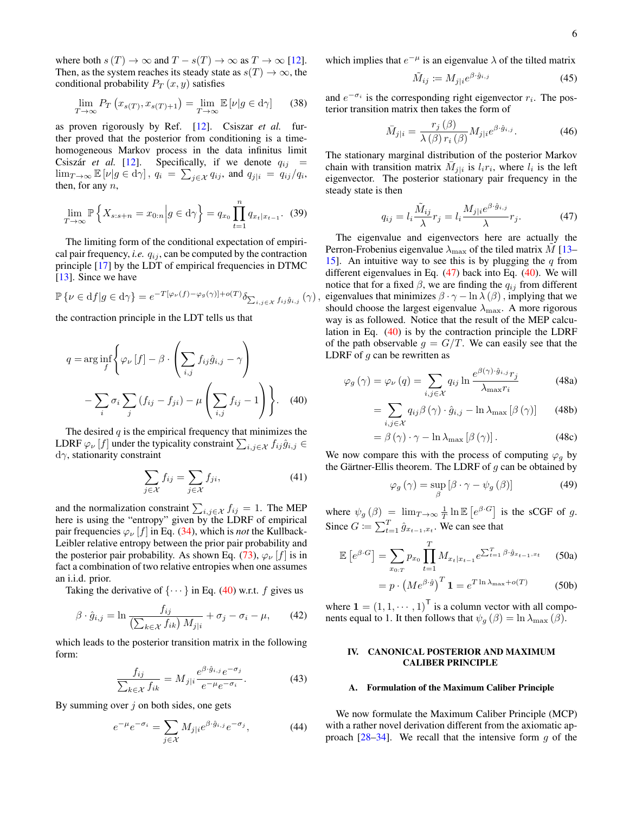where both  $s(T) \to \infty$  and  $T - s(T) \to \infty$  as  $T \to \infty$  [\[12\]](#page-14-38). Then, as the system reaches its steady state as  $s(T) \to \infty$ , the conditional probability  $P_T(x, y)$  satisfies

<span id="page-5-3"></span>
$$
\lim_{T \to \infty} P_T \left( x_{s(T)}, x_{s(T)+1} \right) = \lim_{T \to \infty} \mathbb{E} \left[ \nu | g \in \mathbf{d}\gamma \right] \tag{38}
$$

as proven rigorously by Ref. [\[12\]](#page-14-38). Csiszar *et al.* further proved that the posterior from conditioning is a timehomogeneous Markov process in the data infinitus limit Csiszár *et al.* [\[12\]](#page-14-38). Specifically, if we denote  $q_{ij}$  =  $\lim_{T\to\infty} \mathbb{E} \left[ \nu | g \in d\gamma \right], q_i = \sum_{j \in \mathcal{X}} q_{ij},$  and  $q_{j|i} = q_{ij}/q_i$ , then, for any  $n$ ,

$$
\lim_{T \to \infty} \mathbb{P}\left\{ X_{s:s+n} = x_{0:n} \middle| g \in d\gamma \right\} = q_{x_0} \prod_{t=1}^n q_{x_t | x_{t-1}}.
$$
 (39)

The limiting form of the conditional expectation of empirical pair frequency, *i.e.*  $q_{ij}$ , can be computed by the contraction principle [\[17\]](#page-14-13) by the LDT of empirical frequencies in DTMC [\[13\]](#page-14-12). Since we have

$$
\mathbb{P}\left\{\nu \in \mathrm{d}f \middle| g \in \mathrm{d}\gamma\right\} = e^{-T[\varphi_{\nu}(f) - \varphi_{g}(\gamma)] + o(T)} \delta_{\sum_{i,j \in \mathcal{X}} f_{ij} \hat{g}_{i,j}}(\gamma),
$$

the contraction principle in the LDT tells us that

$$
q = \arg\inf_{f} \left\{ \varphi_{\nu} \left[ f \right] - \beta \cdot \left( \sum_{i,j} f_{ij} \hat{g}_{i,j} - \gamma \right) - \sum_{i} \sigma_{i} \sum_{j} \left( f_{ij} - f_{ji} \right) - \mu \left( \sum_{i,j} f_{ij} - 1 \right) \right\}.
$$
 (40)

The desired  $q$  is the empirical frequency that minimizes the LDRF  $\varphi_{\nu}[f]$  under the typicality constraint  $\sum_{i,j \in \mathcal{X}} f_{ij} \hat{g}_{i,j} \in$  $d\gamma$ , stationarity constraint

<span id="page-5-6"></span>
$$
\sum_{j \in \mathcal{X}} f_{ij} = \sum_{j \in \mathcal{X}} f_{ji},\tag{41}
$$

and the normalization constraint  $\sum_{i,j\in\mathcal{X}} f_{ij} = 1$ . The MEP here is using the "entropy" given by the LDRF of empirical pair frequencies  $\varphi_{\nu}$  [f] in Eq. [\(34\)](#page-4-2), which is *not* the Kullback-Leibler relative entropy between the prior pair probability and the posterior pair probability. As shown Eq. [\(73\)](#page-8-1),  $\varphi_{\nu}$  [f] is in fact a combination of two relative entropies when one assumes an i.i.d. prior.

Taking the derivative of  $\{\cdots\}$  in Eq. [\(40\)](#page-5-1) w.r.t. f gives us

$$
\beta \cdot \hat{g}_{i,j} = \ln \frac{f_{ij}}{\left(\sum_{k \in \mathcal{X}} f_{ik}\right) M_{j|i}} + \sigma_j - \sigma_i - \mu,\qquad(42)
$$

which leads to the posterior transition matrix in the following form:

$$
\frac{f_{ij}}{\sum_{k \in \mathcal{X}} f_{ik}} = M_{j|i} \frac{e^{\beta \cdot \hat{g}_{i,j}} e^{-\sigma_j}}{e^{-\mu} e^{-\sigma_i}}.
$$
(43)

By summing over  $j$  on both sides, one gets

$$
e^{-\mu}e^{-\sigma_i} = \sum_{j \in \mathcal{X}} M_{j|i} e^{\beta \cdot \hat{g}_{i,j}} e^{-\sigma_j}, \tag{44}
$$

which implies that  $e^{-\mu}$  is an eigenvalue  $\lambda$  of the tilted matrix

<span id="page-5-5"></span>
$$
\tilde{M}_{ij} := M_{j|i} e^{\beta \cdot \hat{g}_{i,j}} \tag{45}
$$

and  $e^{-\sigma_i}$  is the corresponding right eigenvector  $r_i$ . The posterior transition matrix then takes the form of

<span id="page-5-4"></span>
$$
\bar{M}_{j|i} = \frac{r_j(\beta)}{\lambda(\beta) r_i(\beta)} M_{j|i} e^{\beta \cdot \hat{g}_{i,j}}.
$$
 (46)

The stationary marginal distribution of the posterior Markov chain with transition matrix  $\overline{M}_{j|i}$  is  $l_i r_i$ , where  $l_i$  is the left eigenvector. The posterior stationary pair frequency in the steady state is then

<span id="page-5-2"></span>
$$
q_{ij} = l_i \frac{\tilde{M}_{ij}}{\lambda} r_j = l_i \frac{M_{j|i} e^{\beta \cdot \hat{g}_{i,j}}}{\lambda} r_j.
$$
 (47)

The eigenvalue and eigenvectors here are actually the Perron-Frobenius eigenvalue  $\lambda_{\text{max}}$  of the tiled matrix M [\[13–](#page-14-12) [15\]](#page-14-9). An intuitive way to see this is by plugging the  $q$  from different eigenvalues in Eq. [\(47\)](#page-5-2) back into Eq. [\(40\)](#page-5-1). We will notice that for a fixed  $\beta$ , we are finding the  $q_{ij}$  from different eigenvalues that minimizes  $\beta \cdot \gamma - \ln \lambda(\beta)$ , implying that we should choose the largest eigenvalue  $\lambda_{\text{max}}$ . A more rigorous way is as followed. Notice that the result of the MEP calculation in Eq. [\(40\)](#page-5-1) is by the contraction principle the LDRF of the path observable  $g = G/T$ . We can easily see that the LDRF of  $g$  can be rewritten as

<span id="page-5-1"></span>
$$
\varphi_g(\gamma) = \varphi_\nu(q) = \sum_{i,j \in \mathcal{X}} q_{ij} \ln \frac{e^{\beta(\gamma) \cdot \hat{g}_{i,j}} r_j}{\lambda_{\text{max}} r_i}
$$
(48a)

$$
= \sum_{i,j \in \mathcal{X}} q_{ij} \beta(\gamma) \cdot \hat{g}_{i,j} - \ln \lambda_{\max} [\beta(\gamma)] \qquad (48b)
$$

$$
= \beta(\gamma) \cdot \gamma - \ln \lambda_{\max} [\beta(\gamma)]. \tag{48c}
$$

We now compare this with the process of computing  $\varphi_q$  by the Gärtner-Ellis theorem. The LDRF of  $g$  can be obtained by

$$
\varphi_g\left(\gamma\right) = \sup_{\beta} \left[\beta \cdot \gamma - \psi_g\left(\beta\right)\right] \tag{49}
$$

where  $\psi_g(\beta) = \lim_{T \to \infty} \frac{1}{T} \ln \mathbb{E} \left[ e^{\beta \cdot G} \right]$  is the sCGF of g. Since  $G := \sum_{t=1}^{T} \hat{g}_{x_{t-1},x_t}$ . We can see that

$$
\mathbb{E}\left[e^{\beta \cdot G}\right] = \sum_{x_{0:T}} p_{x_0} \prod_{t=1}^T M_{x_t | x_{t-1}} e^{\sum_{t=1}^T \beta \cdot \hat{g}_{x_{t-1}, x_t}}
$$
(50a)

$$
= p \cdot \left( Me^{\beta \cdot \hat{g}} \right)^T \mathbf{1} = e^{T \ln \lambda_{\text{max}} + o(T)} \tag{50b}
$$

where  $\mathbf{1} = (1, 1, \dots, 1)^{\mathsf{T}}$  is a column vector with all components equal to 1. It then follows that  $\psi_q(\beta) = \ln \lambda_{\text{max}}(\beta)$ .

#### <span id="page-5-0"></span>IV. CANONICAL POSTERIOR AND MAXIMUM CALIBER PRINCIPLE

#### A. Formulation of the Maximum Caliber Principle

We now formulate the Maximum Caliber Principle (MCP) with a rather novel derivation different from the axiomatic approach  $[28-34]$  $[28-34]$ . We recall that the intensive form g of the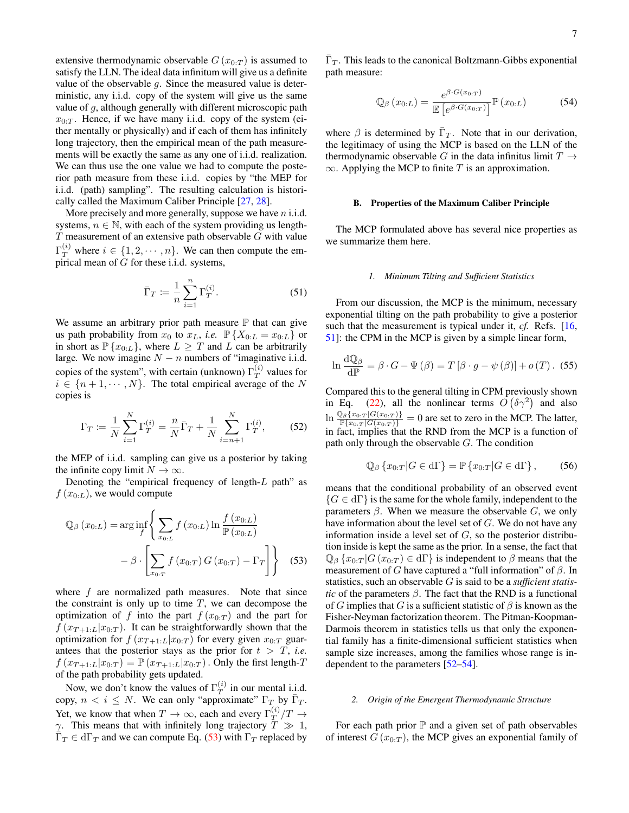$\bar{\Gamma}_T$ . This leads to the canonical Boltzmann-Gibbs exponential

<span id="page-6-1"></span>
$$
\mathbb{Q}_{\beta}\left(x_{0:L}\right) = \frac{e^{\beta \cdot G(x_{0:T})}}{\mathbb{E}\left[e^{\beta \cdot G(x_{0:T})}\right]} \mathbb{P}\left(x_{0:L}\right) \tag{54}
$$

where  $\beta$  is determined by  $\bar{\Gamma}_T$ . Note that in our derivation, the legitimacy of using the MCP is based on the LLN of the thermodynamic observable G in the data infinitus limit  $T \rightarrow$  $\infty$ . Applying the MCP to finite T is an approximation.

path measure:

### B. Properties of the Maximum Caliber Principle

The MCP formulated above has several nice properties as we summarize them here.

#### *1. Minimum Tilting and Sufficient Statistics*

From our discussion, the MCP is the minimum, necessary exponential tilting on the path probability to give a posterior such that the measurement is typical under it, *cf.* Refs. [\[16,](#page-14-10) [51\]](#page-15-3): the CPM in the MCP is given by a simple linear form,

$$
\ln \frac{d\mathbb{Q}_{\beta}}{d\mathbb{P}} = \beta \cdot G - \Psi(\beta) = T [\beta \cdot g - \psi(\beta)] + o(T). (55)
$$

Compared this to the general tilting in CPM previously shown in Eq. [\(22\)](#page-3-3), all the nonlinear terms  $O(\delta \gamma^2)$  and also  $\ln \frac{\mathbb{Q}_{\beta}\{x_{0:T} | G(x_{0:T})\}}{\mathbb{P}\{x_{0:T} | G(x_{0:T})\}} = 0$  are set to zero in the MCP. The latter, in fact, implies that the RND from the MCP is a function of path only through the observable  $G$ . The condition

$$
\mathbb{Q}_{\beta}\left\{x_{0:T}|G\in\mathrm{d}\Gamma\right\}=\mathbb{P}\left\{x_{0:T}|G\in\mathrm{d}\Gamma\right\},\qquad(56)
$$

<span id="page-6-0"></span>means that the conditional probability of an observed event  ${G \in d\Gamma}$  is the same for the whole family, independent to the parameters  $\beta$ . When we measure the observable G, we only have information about the level set of G. We do not have any information inside a level set of  $G$ , so the posterior distribution inside is kept the same as the prior. In a sense, the fact that  $\mathbb{Q}_{\beta} \{x_{0:T} | G(x_{0:T}) \in d\Gamma\}$  is independent to  $\beta$  means that the measurement of G have captured a "full information" of  $\beta$ . In statistics, such an observable G is said to be a *sufficient statistic* of the parameters  $\beta$ . The fact that the RND is a functional of G implies that G is a sufficient statistic of  $\beta$  is known as the Fisher-Neyman factorization theorem. The Pitman-Koopman-Darmois theorem in statistics tells us that only the exponential family has a finite-dimensional sufficient statistics when sample size increases, among the families whose range is independent to the parameters [\[52–](#page-15-4)[54\]](#page-15-5).

#### *2. Origin of the Emergent Thermodynamic Structure*

For each path prior  $\mathbb P$  and a given set of path observables of interest  $G(x_{0:T})$ , the MCP gives an exponential family of

extensive thermodynamic observable  $G(x_{0:T})$  is assumed to satisfy the LLN. The ideal data infinitum will give us a definite value of the observable  $q$ . Since the measured value is deterministic, any i.i.d. copy of the system will give us the same value of  $g$ , although generally with different microscopic path  $x_{0:T}$ . Hence, if we have many i.i.d. copy of the system (either mentally or physically) and if each of them has infinitely long trajectory, then the empirical mean of the path measurements will be exactly the same as any one of i.i.d. realization. We can thus use the one value we had to compute the posterior path measure from these i.i.d. copies by "the MEP for i.i.d. (path) sampling". The resulting calculation is historically called the Maximum Caliber Principle [\[27,](#page-14-22) [28\]](#page-14-23).

More precisely and more generally, suppose we have  $n$  i.i.d. systems,  $n \in \mathbb{N}$ , with each of the system providing us length- $T$  measurement of an extensive path observable  $G$  with value  $\Gamma_T^{(i)}$  where  $i \in \{1, 2, \cdots, n\}$ . We can then compute the empirical mean of  $\tilde{G}$  for these i.i.d. systems,

$$
\bar{\Gamma}_T := \frac{1}{n} \sum_{i=1}^n \Gamma_T^{(i)}.
$$
\n(51)

We assume an arbitrary prior path measure  $P$  that can give us path probability from  $x_0$  to  $x_L$ , *i.e.*  $\mathbb{P}\{X_{0:L} = x_{0:L}\}\$  or in short as  $\mathbb{P}\{x_{0:L}\}\)$ , where  $L \geq T$  and  $L$  can be arbitrarily large. We now imagine  $N - n$  numbers of "imaginative i.i.d. copies of the system", with certain (unknown)  $\Gamma_T^{(i)}$  $T^{(i)}$  values for  $i \in \{n+1, \dots, N\}$ . The total empirical average of the N copies is

$$
\Gamma_T := \frac{1}{N} \sum_{i=1}^{N} \Gamma_T^{(i)} = \frac{n}{N} \bar{\Gamma}_T + \frac{1}{N} \sum_{i=n+1}^{N} \Gamma_T^{(i)},\tag{52}
$$

the MEP of i.i.d. sampling can give us a posterior by taking the infinite copy limit  $N \to \infty$ .

Denoting the "empirical frequency of length-L path" as  $f(x_{0:L})$ , we would compute

$$
\mathbb{Q}_{\beta}\left(x_{0:L}\right) = \arg\inf_{f} \left\{ \sum_{x_{0:L}} f\left(x_{0:L}\right) \ln \frac{f\left(x_{0:L}\right)}{\mathbb{P}\left(x_{0:L}\right)} - \beta \cdot \left[ \sum_{x_{0:T}} f\left(x_{0:T}\right) G\left(x_{0:T}\right) - \Gamma_T \right] \right\}
$$
(53)

where  $f$  are normalized path measures. Note that since the constraint is only up to time  $T$ , we can decompose the optimization of f into the part  $f(x_{0:T})$  and the part for  $f(x_{T+1:L}|x_{0:T})$ . It can be straightforwardly shown that the optimization for  $f(x_{T+1:L}|x_{0:T})$  for every given  $x_{0:T}$  guarantees that the posterior stays as the prior for  $t > T$ , *i.e.*  $f(x_{T+1:L}|x_{0:T}) = \mathbb{P}(x_{T+1:L}|x_{0:T})$ . Only the first length-T of the path probability gets updated.

Now, we don't know the values of  $\Gamma_T^{(i)}$  $T^{(i)}$  in our mental i.i.d. copy,  $n < i \leq N$ . We can only "approximate"  $\Gamma_T$  by  $\overline{\Gamma}_T$ . Yet, we know that when  $T \to \infty$ , each and every  $\Gamma_T^{(i)}$  $T^{(i)}/T \rightarrow$  $\gamma$ . This means that with infinitely long trajectory  $\overline{T} \gg 1$ ,  $\bar{\Gamma}_T \in d\Gamma_T$  and we can compute Eq. [\(53\)](#page-6-0) with  $\Gamma_T$  replaced by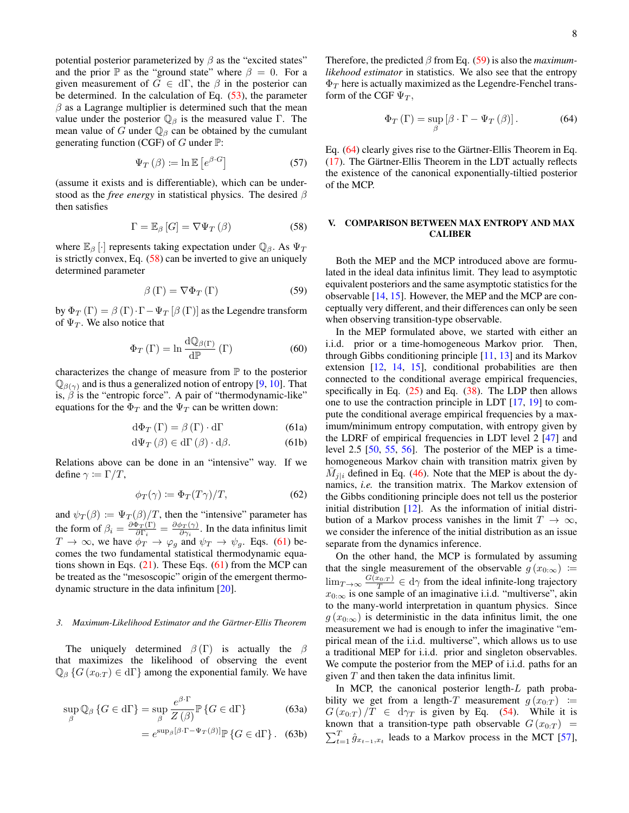potential posterior parameterized by  $\beta$  as the "excited states" and the prior  $\mathbb P$  as the "ground state" where  $\beta = 0$ . For a given measurement of  $G \in d\Gamma$ , the  $\beta$  in the posterior can be determined. In the calculation of Eq.  $(53)$ , the parameter  $\beta$  as a Lagrange multiplier is determined such that the mean value under the posterior  $\mathbb{Q}_{\beta}$  is the measured value Γ. The mean value of G under  $\mathbb{Q}_\beta$  can be obtained by the cumulant generating function (CGF) of G under  $\mathbb{P}$ :

$$
\Psi_T(\beta) \coloneqq \ln \mathbb{E}\left[e^{\beta \cdot G}\right] \tag{57}
$$

(assume it exists and is differentiable), which can be understood as the *free energy* in statistical physics. The desired β then satisfies

<span id="page-7-1"></span>
$$
\Gamma = \mathbb{E}_{\beta} [G] = \nabla \Psi_T (\beta) \tag{58}
$$

where  $\mathbb{E}_{\beta}$  [·] represents taking expectation under  $\mathbb{Q}_{\beta}$ . As  $\Psi_T$ is strictly convex, Eq. [\(58\)](#page-7-1) can be inverted to give an uniquely determined parameter

<span id="page-7-3"></span>
$$
\beta(\Gamma) = \nabla \Phi_T(\Gamma) \tag{59}
$$

by  $\Phi_T(\Gamma) = \beta(\Gamma) \cdot \Gamma - \Psi_T[\beta(\Gamma)]$  as the Legendre transform of  $\Psi_T$ . We also notice that

$$
\Phi_{T}\left(\Gamma\right) = \ln \frac{\mathrm{d}\mathbb{Q}_{\beta\left(\Gamma\right)}}{\mathrm{d}\mathbb{P}}\left(\Gamma\right) \tag{60}
$$

characterizes the change of measure from  $\mathbb P$  to the posterior  $\mathbb{Q}_{\beta(\gamma)}$  and is thus a generalized notion of entropy [\[9,](#page-14-6) [10\]](#page-14-7). That is,  $\beta$  is the "entropic force". A pair of "thermodynamic-like" equations for the  $\Phi_T$  and the  $\Psi_T$  can be written down:

$$
\mathrm{d}\Phi_T\left(\Gamma\right) = \beta\left(\Gamma\right) \cdot \mathrm{d}\Gamma\tag{61a}
$$

$$
d\Psi_T(\beta) \in d\Gamma(\beta) \cdot d\beta. \tag{61b}
$$

Relations above can be done in an "intensive" way. If we define  $\gamma \coloneqq \Gamma/T$ ,

$$
\phi_T(\gamma) \coloneqq \Phi_T(T\gamma)/T,\tag{62}
$$

and  $\psi_T(\beta) \coloneqq \Psi_T(\beta)/T$ , then the "intensive" parameter has the form of  $\beta_i = \frac{\partial \Phi_T(\Gamma)}{\partial \Gamma_i}$  $\frac{\delta_{T}(\Gamma)}{\partial \Gamma_{i}}=\frac{\partial\phi_{T}(\gamma)}{\partial\gamma_{i}}$  $\frac{\partial \mathcal{P}(\gamma)}{\partial \gamma_i}$ . In the data infinitus limit  $T \to \infty$ , we have  $\phi_T \to \varphi_g$  and  $\psi_T \to \psi_g$ . Eqs. [\(61\)](#page-7-2) becomes the two fundamental statistical thermodynamic equations shown in Eqs.  $(21)$ . These Eqs.  $(61)$  from the MCP can be treated as the "mesoscopic" origin of the emergent thermodynamic structure in the data infinitum [\[20\]](#page-14-15).

#### *3. Maximum-Likelihood Estimator and the Gärtner-Ellis Theorem*

The uniquely determined  $\beta(\Gamma)$  is actually the  $\beta$ that maximizes the likelihood of observing the event  $\mathbb{Q}_{\beta}$  { $G(x_{0:T}) \in d\Gamma$ } among the exponential family. We have

$$
\sup_{\beta} \mathbb{Q}_{\beta} \left\{ G \in \mathrm{d}\Gamma \right\} = \sup_{\beta} \frac{e^{\beta \cdot \Gamma}}{Z(\beta)} \mathbb{P} \left\{ G \in \mathrm{d}\Gamma \right\} \tag{63a}
$$

 $=$ 

$$
=e^{\sup_{\beta}[\beta\cdot\Gamma-\Psi_{T}(\beta)]}\mathbb{P}\left\{G\in\mathrm{d}\Gamma\right\}.\quad(63b)
$$

Therefore, the predicted β from Eq. [\(59\)](#page-7-3) is also the *maximumlikehood estimator* in statistics. We also see that the entropy  $\Phi_T$  here is actually maximized as the Legendre-Fenchel transform of the CGF  $\Psi_T$ ,

<span id="page-7-4"></span>
$$
\Phi_T \left( \Gamma \right) = \sup_{\beta} \left[ \beta \cdot \Gamma - \Psi_T \left( \beta \right) \right]. \tag{64}
$$

Eq. [\(64\)](#page-7-4) clearly gives rise to the Gärtner-Ellis Theorem in Eq. [\(17\)](#page-3-5). The Gärtner-Ellis Theorem in the LDT actually reflects the existence of the canonical exponentially-tiltied posterior of the MCP.

## <span id="page-7-0"></span>V. COMPARISON BETWEEN MAX ENTROPY AND MAX CALIBER

Both the MEP and the MCP introduced above are formulated in the ideal data infinitus limit. They lead to asymptotic equivalent posteriors and the same asymptotic statistics for the observable [\[14,](#page-14-21) [15\]](#page-14-9). However, the MEP and the MCP are conceptually very different, and their differences can only be seen when observing transition-type observable.

<span id="page-7-2"></span>In the MEP formulated above, we started with either an i.i.d. prior or a time-homogeneous Markov prior. Then, through Gibbs conditioning principle [\[11,](#page-14-8) [13\]](#page-14-12) and its Markov extension [\[12,](#page-14-38) [14,](#page-14-21) [15\]](#page-14-9), conditional probabilities are then connected to the conditional average empirical frequencies, specifically in Eq. [\(25\)](#page-3-2) and Eq. [\(38\)](#page-5-3). The LDP then allows one to use the contraction principle in LDT [\[17,](#page-14-13) [19\]](#page-14-14) to compute the conditional average empirical frequencies by a maximum/minimum entropy computation, with entropy given by the LDRF of empirical frequencies in LDT level 2 [\[47\]](#page-14-37) and level 2.5 [\[50,](#page-15-2) [55,](#page-15-6) [56\]](#page-15-7). The posterior of the MEP is a timehomogeneous Markov chain with transition matrix given by  $\overline{M}_{j|i}$  defined in Eq. [\(46\)](#page-5-4). Note that the MEP is about the dynamics, *i.e.* the transition matrix. The Markov extension of the Gibbs conditioning principle does not tell us the posterior initial distribution [\[12\]](#page-14-38). As the information of initial distribution of a Markov process vanishes in the limit  $T \to \infty$ , we consider the inference of the initial distribution as an issue separate from the dynamics inference.

On the other hand, the MCP is formulated by assuming that the single measurement of the observable  $g(x_{0:\infty}) :=$  $\lim_{T \to \infty} \frac{G(x_0, r)}{T} \in d\gamma$  from the ideal infinite-long trajectory  $x_{0:\infty}$  is one sample of an imaginative i.i.d. "multiverse", akin to the many-world interpretation in quantum physics. Since  $g(x_{0:\infty})$  is deterministic in the data infinitus limit, the one measurement we had is enough to infer the imaginative "empirical mean of the i.i.d. multiverse", which allows us to use a traditional MEP for i.i.d. prior and singleton observables. We compute the posterior from the MEP of i.i.d. paths for an given  $T$  and then taken the data infinitus limit.

In MCP, the canonical posterior length- $L$  path probability we get from a length-T measurement  $g(x_{0:T}) :=$  $G(x_{0:T})/T \in d\gamma_T$  is given by Eq. [\(54\)](#page-6-1). While it is known that a transition-type path observable  $G(x_{0:T})$  =  $\sum_{t=1}^{T} \hat{g}_{x_{t-1},x_t}$  leads to a Markov process in the MCT [\[57\]](#page-15-8),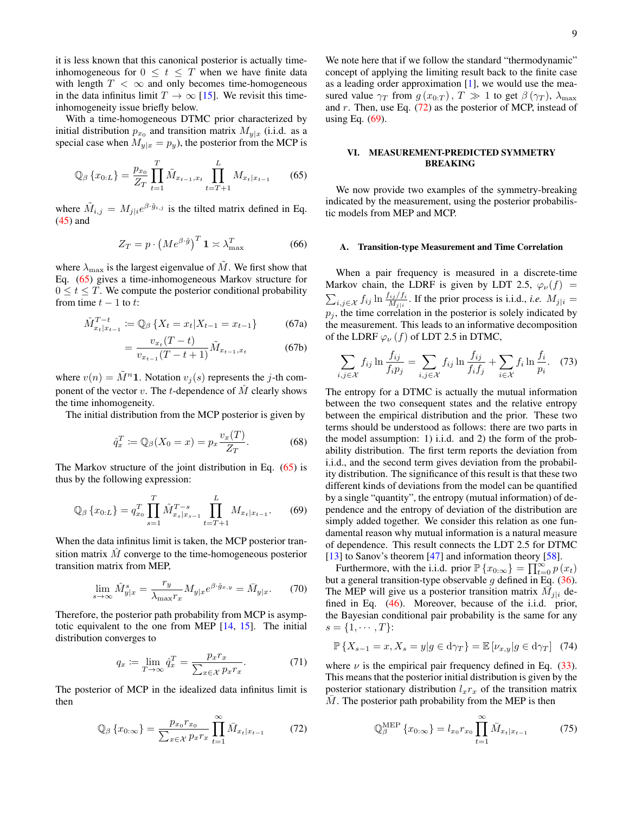it is less known that this canonical posterior is actually timeinhomogeneous for  $0 \le t \le T$  when we have finite data with length  $T < \infty$  and only becomes time-homogeneous in the data infinitus limit  $T \to \infty$  [\[15\]](#page-14-9). We revisit this timeinhomogeneity issue briefly below.

With a time-homogeneous DTMC prior characterized by initial distribution  $p_{x_0}$  and transition matrix  $M_{y|x}$  (i.i.d. as a special case when  $M_{y|x} = p_y$ , the posterior from the MCP is

<span id="page-8-2"></span>
$$
\mathbb{Q}_{\beta}\left\{x_{0:L}\right\} = \frac{p_{x_0}}{Z_T} \prod_{t=1}^T \tilde{M}_{x_{t-1},x_t} \prod_{t=T+1}^L M_{x_t|x_{t-1}} \tag{65}
$$

where  $\tilde{M}_{i,j} = M_{j|i} e^{\beta \cdot \hat{g}_{i,j}}$  is the tilted matrix defined in Eq. [\(45\)](#page-5-5) and

$$
Z_T = p \cdot \left( Me^{\beta \cdot \hat{g}} \right)^T \mathbf{1} \asymp \lambda_{\text{max}}^T \tag{66}
$$

where  $\lambda_{\text{max}}$  is the largest eigenvalue of  $M.$  We first show that Eq. [\(65\)](#page-8-2) gives a time-inhomogeneous Markov structure for  $0 \le t \le T$ . We compute the posterior conditional probability from time  $t - 1$  to  $t$ :

$$
\hat{M}_{x_t|x_{t-1}}^{T-t} := \mathbb{Q}_{\beta} \left\{ X_t = x_t | X_{t-1} = x_{t-1} \right\} \tag{67a}
$$

$$
= \frac{v_{x_t}(T-t)}{v_{x_{t-1}}(T-t+1)} \tilde{M}_{x_{t-1},x_t}
$$
 (67b)

where  $v(n) = \tilde{M}^n 1$ . Notation  $v_j(s)$  represents the j-th component of the vector v. The t-dependence of  $\hat{M}$  clearly shows the time inhomogeneity.

The initial distribution from the MCP posterior is given by

$$
\hat{q}_x^T := \mathbb{Q}_\beta(X_0 = x) = p_x \frac{v_x(T)}{Z_T}.\tag{68}
$$

The Markov structure of the joint distribution in Eq. [\(65\)](#page-8-2) is thus by the following expression:

<span id="page-8-4"></span>
$$
\mathbb{Q}_{\beta}\left\{x_{0:L}\right\} = q_{x_0}^T \prod_{s=1}^T \hat{M}_{x_s|x_{s-1}}^{T-s} \prod_{t=T+1}^L M_{x_t|x_{t-1}}.\tag{69}
$$

When the data infinitus limit is taken, the MCP posterior transition matrix  $\hat{M}$  converge to the time-homogeneous posterior transition matrix from MEP,

$$
\lim_{s \to \infty} \hat{M}_{y|x}^s = \frac{r_y}{\lambda_{\text{max}} r_x} M_{y|x} e^{\beta \cdot \hat{g}_{x,y}} = \bar{M}_{y|x}.
$$
 (70)

Therefore, the posterior path probability from MCP is asymptotic equivalent to the one from MEP [\[14,](#page-14-21) [15\]](#page-14-9). The initial distribution converges to

$$
q_x := \lim_{T \to \infty} \hat{q}_x^T = \frac{p_x r_x}{\sum_{x \in \mathcal{X}} p_x r_x}.
$$
 (71)

The posterior of MCP in the idealized data infinitus limit is then

<span id="page-8-3"></span>
$$
\mathbb{Q}_{\beta}\left\{x_{0:\infty}\right\} = \frac{p_{x_0}r_{x_0}}{\sum_{x \in \mathcal{X}} p_x r_x} \prod_{t=1}^{\infty} \bar{M}_{x_t|x_{t-1}} \tag{72}
$$

We note here that if we follow the standard "thermodynamic" concept of applying the limiting result back to the finite case as a leading order approximation  $[1]$ , we would use the measured value  $\gamma_T$  from  $g(x_{0:T})$ ,  $T \gg 1$  to get  $\beta(\gamma_T)$ ,  $\lambda_{\text{max}}$ and r. Then, use Eq.  $(72)$  as the posterior of MCP, instead of using Eq. [\(69\)](#page-8-4).

### <span id="page-8-0"></span>VI. MEASUREMENT-PREDICTED SYMMETRY BREAKING

We now provide two examples of the symmetry-breaking indicated by the measurement, using the posterior probabilistic models from MEP and MCP.

### A. Transition-type Measurement and Time Correlation

When a pair frequency is measured in a discrete-time Markov chain, the LDRF is given by LDT 2.5,  $\varphi_{\nu}(f)$  =  $\sum_{i,j \in \mathcal{X}} f_{ij} \ln \frac{f_{ij}/f_i}{M_{j|i}}$ . If the prior process is i.i.d., *i.e.*  $M_{j|i} =$  $p_i$ , the time correlation in the posterior is solely indicated by the measurement. This leads to an informative decomposition of the LDRF  $\varphi_{\nu}(f)$  of LDT 2.5 in DTMC,

<span id="page-8-1"></span>
$$
\sum_{i,j\in\mathcal{X}} f_{ij} \ln \frac{f_{ij}}{f_i p_j} = \sum_{i,j\in\mathcal{X}} f_{ij} \ln \frac{f_{ij}}{f_i f_j} + \sum_{i\in\mathcal{X}} f_i \ln \frac{f_i}{p_i}.
$$
 (73)

The entropy for a DTMC is actually the mutual information between the two consequent states and the relative entropy between the empirical distribution and the prior. These two terms should be understood as follows: there are two parts in the model assumption: 1) i.i.d. and 2) the form of the probability distribution. The first term reports the deviation from i.i.d., and the second term gives deviation from the probability distribution. The significance of this result is that these two different kinds of deviations from the model can be quantified by a single "quantity", the entropy (mutual information) of dependence and the entropy of deviation of the distribution are simply added together. We consider this relation as one fundamental reason why mutual information is a natural measure of dependence. This result connects the LDT 2.5 for DTMC [\[13\]](#page-14-12) to Sanov's theorem [\[47\]](#page-14-37) and information theory [\[58\]](#page-15-9).

Furthermore, with the i.i.d. prior  $\mathbb{P}\left\{x_{0:\infty}\right\} = \prod_{t=0}^{\infty} p(x_t)$ but a general transition-type observable  $g$  defined in Eq. [\(36\)](#page-4-3). The MEP will give us a posterior transition matrix  $\vec{M}_{j|i}$  defined in Eq.  $(46)$ . Moreover, because of the i.i.d. prior, the Bayesian conditional pair probability is the same for any  $s = \{1, \cdots, T\}$ :

$$
\mathbb{P}\left\{X_{s-1}=x, X_s=y|g\in\mathrm{d}\gamma_T\right\}=\mathbb{E}\left[\nu_{x,y}|g\in\mathrm{d}\gamma_T\right] \tag{74}
$$

where  $\nu$  is the empirical pair frequency defined in Eq. [\(33\)](#page-4-4). This means that the posterior initial distribution is given by the posterior stationary distribution  $l_xr_x$  of the transition matrix  $M$ . The posterior path probability from the MEP is then

$$
\mathbb{Q}_{\beta}^{\text{MEP}}\left\{x_{0:\infty}\right\} = l_{x_{0}} r_{x_{0}} \prod_{t=1}^{\infty} \bar{M}_{x_{t}|x_{t-1}} \tag{75}
$$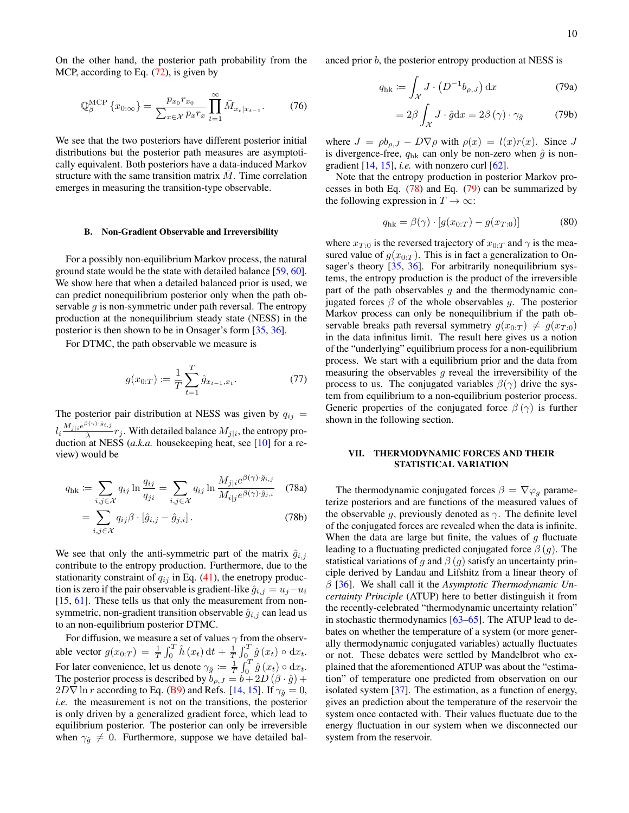On the other hand, the posterior path probability from the MCP, according to Eq. [\(72\)](#page-8-3), is given by

$$
\mathbb{Q}_{\beta}^{\text{MCP}}\left\{x_{0:\infty}\right\} = \frac{p_{x_0}r_{x_0}}{\sum_{x \in \mathcal{X}} p_x r_x} \prod_{t=1}^{\infty} \bar{M}_{x_t|x_{t-1}}.
$$
 (76)

We see that the two posteriors have different posterior initial distributions but the posterior path measures are asymptotically equivalent. Both posteriors have a data-induced Markov structure with the same transition matrix  $\overline{M}$ . Time correlation emerges in measuring the transition-type observable.

#### B. Non-Gradient Observable and Irreversibility

For a possibly non-equilibrium Markov process, the natural ground state would be the state with detailed balance [\[59,](#page-15-10) [60\]](#page-15-11). We show here that when a detailed balanced prior is used, we can predict nonequilibrium posterior only when the path observable  $g$  is non-symmetric under path reversal. The entropy production at the nonequilibrium steady state (NESS) in the posterior is then shown to be in Onsager's form [\[35,](#page-14-26) [36\]](#page-14-27).

For DTMC, the path observable we measure is

$$
g(x_{0:T}) \coloneqq \frac{1}{T} \sum_{t=1}^{T} \hat{g}_{x_{t-1}, x_t}.
$$
 (77)

The posterior pair distribution at NESS was given by  $q_{ij} =$  $l_i\frac{M_{j|i}e^{\beta(\gamma)\cdot\hat{g}_{i,j}}}{\lambda}$  $\frac{1}{\lambda}$   $r_j$ . With detailed balance  $M_{j|i}$ , the entropy production at NESS (*a.k.a.* housekeeping heat, see [\[10\]](#page-14-7) for a review) would be

<span id="page-9-1"></span>
$$
q_{\text{hk}} := \sum_{i,j \in \mathcal{X}} q_{ij} \ln \frac{q_{ij}}{q_{ji}} = \sum_{i,j \in \mathcal{X}} q_{ij} \ln \frac{M_{j|i} e^{\beta(\gamma) \cdot \hat{g}_{i,j}}}{M_{i|j} e^{\beta(\gamma) \cdot \hat{g}_{j,i}}} \quad (78a)
$$

$$
= \sum_{i,j \in \mathcal{X}} q_{ij} \beta \cdot [\hat{g}_{i,j} - \hat{g}_{j,i}]. \tag{78b}
$$

We see that only the anti-symmetric part of the matrix  $\hat{g}_{i,j}$ contribute to the entropy production. Furthermore, due to the stationarity constraint of  $q_{ij}$  in Eq. [\(41\)](#page-5-6), the enetropy production is zero if the pair observable is gradient-like  $\hat{g}_{i,j} = u_j - u_i$ [\[15,](#page-14-9) [61\]](#page-15-12). These tells us that only the measurement from nonsymmetric, non-gradient transition observable  $\hat{g}_{i,j}$  can lead us to an non-equilibrium posterior DTMC.

For diffusion, we measure a set of values  $\gamma$  from the observable vector  $g(x_{0:T}) = \frac{1}{T} \int_0^T \hat{h}(x_t) dt + \frac{1}{T} \int_0^T \hat{g}(x_t) \circ dx_t$ . For later convenience, let us denote  $\gamma_{\hat{g}} := \frac{1}{T} \int_0^T \hat{g}(x_t) \circ dx_t$ . The posterior process is described by  $b_{\rho,J} = b + 2D(\beta \cdot \hat{g}) +$  $2D\nabla$  ln r according to Eq. [\(B9\)](#page-13-0) and Refs. [\[14,](#page-14-21) [15\]](#page-14-9). If  $\gamma_{\hat{g}} = 0$ , *i.e.* the measurement is not on the transitions, the posterior is only driven by a generalized gradient force, which lead to equilibrium posterior. The posterior can only be irreversible when  $\gamma_{\hat{g}} \neq 0$ . Furthermore, suppose we have detailed balanced prior b, the posterior entropy production at NESS is

$$
q_{\rm hk} := \int_{\mathcal{X}} J \cdot \left( D^{-1} b_{\rho,J} \right) \mathrm{d}x \tag{79a}
$$

<span id="page-9-2"></span>
$$
=2\beta \int_{\mathcal{X}} J \cdot \hat{g} \mathrm{d}x = 2\beta (\gamma) \cdot \gamma_{\hat{g}} \tag{79b}
$$

where  $J = \rho b_{\rho,J} - D \nabla \rho$  with  $\rho(x) = l(x)r(x)$ . Since J is divergence-free,  $q_{hk}$  can only be non-zero when  $\hat{q}$  is nongradient  $[14, 15]$  $[14, 15]$  $[14, 15]$ , *i.e.* with nonzero curl  $[62]$ .

Note that the entropy production in posterior Markov processes in both Eq.  $(78)$  and Eq.  $(79)$  can be summarized by the following expression in  $T \to \infty$ :

$$
q_{hk} = \beta(\gamma) \cdot [g(x_{0:T}) - g(x_{T:0})]
$$
 (80)

where  $x_{T:0}$  is the reversed trajectory of  $x_{0:T}$  and  $\gamma$  is the measured value of  $g(x_{0:T})$ . This is in fact a generalization to On-sager's theory [\[35,](#page-14-26) [36\]](#page-14-27). For arbitrarily nonequilibrium systems, the entropy production is the product of the irreversible part of the path observables  $q$  and the thermodynamic conjugated forces  $\beta$  of the whole observables g. The posterior Markov process can only be nonequilibrium if the path observable breaks path reversal symmetry  $g(x_{0:T}) \neq g(x_{T:0})$ in the data infinitus limit. The result here gives us a notion of the "underlying" equilibrium process for a non-equilibrium process. We start with a equilibrium prior and the data from measuring the observables  $g$  reveal the irreversibility of the process to us. The conjugated variables  $\beta(\gamma)$  drive the system from equilibrium to a non-equilibrium posterior process. Generic properties of the conjugated force  $\beta(\gamma)$  is further shown in the following section.

## <span id="page-9-0"></span>VII. THERMODYNAMIC FORCES AND THEIR STATISTICAL VARIATION

The thermodynamic conjugated forces  $\beta = \nabla \varphi_q$  parameterize posteriors and are functions of the measured values of the observable g, previously denoted as  $\gamma$ . The definite level of the conjugated forces are revealed when the data is infinite. When the data are large but finite, the values of  $q$  fluctuate leading to a fluctuating predicted conjugated force  $\beta(q)$ . The statistical variations of q and  $\beta$  (q) satisfy an uncertainty principle derived by Landau and Lifshitz from a linear theory of β [\[36\]](#page-14-27). We shall call it the *Asymptotic Thermodynamic Uncertainty Principle* (ATUP) here to better distinguish it from the recently-celebrated "thermodynamic uncertainty relation" in stochastic thermodynamics [\[63](#page-15-14)[–65\]](#page-15-15). The ATUP lead to debates on whether the temperature of a system (or more generally thermodynamic conjugated variables) actually fluctuates or not. These debates were settled by Mandelbrot who explained that the aforementioned ATUP was about the "estimation" of temperature one predicted from observation on our isolated system [\[37\]](#page-14-28). The estimation, as a function of energy, gives an prediction about the temperature of the reservoir the system once contacted with. Their values fluctuate due to the energy fluctuation in our system when we disconnected our system from the reservoir.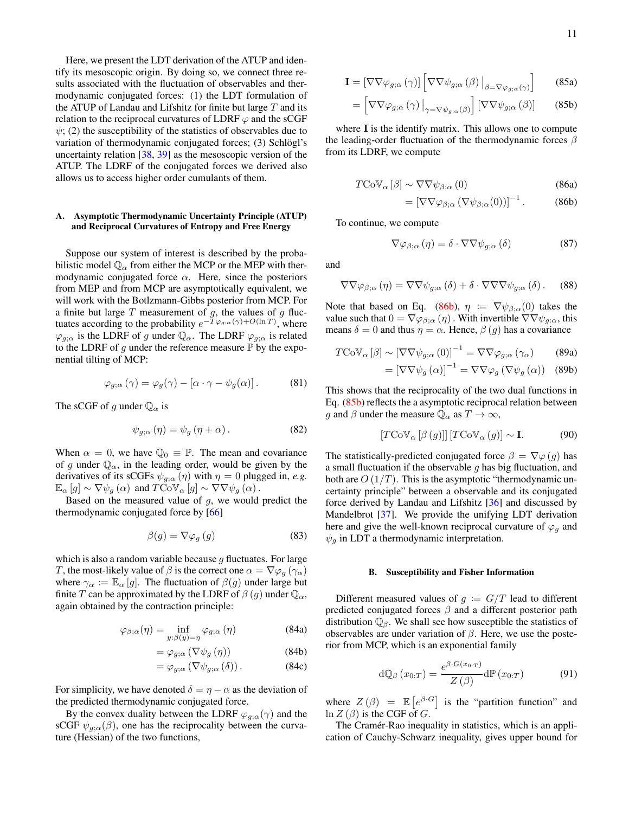Here, we present the LDT derivation of the ATUP and identify its mesoscopic origin. By doing so, we connect three results associated with the fluctuation of observables and thermodynamic conjugated forces: (1) the LDT formulation of the ATUP of Landau and Lifshitz for finite but large  $T$  and its relation to the reciprocal curvatures of LDRF  $\varphi$  and the sCGF  $\psi$ ; (2) the susceptibility of the statistics of observables due to variation of thermodynamic conjugated forces; (3) Schlögl's uncertainty relation [\[38,](#page-14-29) [39\]](#page-14-30) as the mesoscopic version of the ATUP. The LDRF of the conjugated forces we derived also allows us to access higher order cumulants of them.

#### A. Asymptotic Thermodynamic Uncertainty Principle (ATUP) and Reciprocal Curvatures of Entropy and Free Energy

Suppose our system of interest is described by the probabilistic model  $\mathbb{Q}_{\alpha}$  from either the MCP or the MEP with thermodynamic conjugated force  $\alpha$ . Here, since the posteriors from MEP and from MCP are asymptotically equivalent, we will work with the Botlzmann-Gibbs posterior from MCP. For a finite but large  $T$  measurement of  $g$ , the values of  $g$  fluctuates according to the probability  $e^{-T\varphi_{g,\alpha}(\gamma)+O(\ln T)}$ , where  $\varphi_{g;\alpha}$  is the LDRF of g under  $\mathbb{Q}_{\alpha}$ . The LDRF  $\varphi_{g;\alpha}$  is related to the LDRF of g under the reference measure  $\mathbb P$  by the exponential tilting of MCP:

$$
\varphi_{g;\alpha}(\gamma) = \varphi_g(\gamma) - [\alpha \cdot \gamma - \psi_g(\alpha)]. \tag{81}
$$

The sCGF of g under  $\mathbb{Q}_{\alpha}$  is

$$
\psi_{g;\alpha}(\eta) = \psi_g(\eta + \alpha). \tag{82}
$$

When  $\alpha = 0$ , we have  $\mathbb{Q}_0 \equiv \mathbb{P}$ . The mean and covariance of g under  $\mathbb{Q}_{\alpha}$ , in the leading order, would be given by the derivatives of its sCGFs  $\psi_{g;\alpha}(\eta)$  with  $\eta = 0$  plugged in, *e.g.*  $\mathbb{E}_{\alpha}[g] \sim \nabla \psi_g(\alpha)$  and  $T \text{CoV}_{\alpha}[g] \sim \nabla \nabla \psi_g(\alpha)$ .

Based on the measured value of  $q$ , we would predict the thermodynamic conjugated force by [\[66\]](#page-15-16)

$$
\beta(g) = \nabla \varphi_g \left( g \right) \tag{83}
$$

which is also a random variable because  $g$  fluctuates. For large T, the most-likely value of  $\beta$  is the correct one  $\alpha = \nabla \varphi_g(\gamma_\alpha)$ where  $\gamma_{\alpha} := \mathbb{E}_{\alpha}[g]$ . The fluctuation of  $\beta(g)$  under large but finite T can be approximated by the LDRF of  $\beta(g)$  under  $\mathbb{Q}_{\alpha}$ , again obtained by the contraction principle:

$$
\varphi_{\beta;\alpha}(\eta) = \inf_{y:\beta(y)=\eta} \varphi_{g;\alpha}(\eta)
$$
 (84a)

$$
= \varphi_{g;\alpha} \left( \nabla \psi_g \left( \eta \right) \right) \tag{84b}
$$

$$
= \varphi_{g;\alpha} (\nabla \psi_{g;\alpha} (\delta)). \tag{84c}
$$

For simplicity, we have denoted  $\delta = \eta - \alpha$  as the deviation of the predicted thermodynamic conjugated force.

By the convex duality between the LDRF  $\varphi_{g;\alpha}(\gamma)$  and the sCGF  $\psi_{g,\alpha}(\beta)$ , one has the reciprocality between the curvature (Hessian) of the two functions,

$$
\mathbf{I} = \left[ \nabla \nabla \varphi_{g;\alpha} (\gamma) \right] \left[ \nabla \nabla \psi_{g;\alpha} (\beta) \Big|_{\beta = \nabla \varphi_{g;\alpha} (\gamma)} \right] \tag{85a}
$$

$$
= \left[ \nabla \nabla \varphi_{g;\alpha}(\gamma) \big|_{\gamma = \nabla \psi_{g;\alpha}(\beta)} \right] \left[ \nabla \nabla \psi_{g;\alpha}(\beta) \right] \tag{85b}
$$

where  $I$  is the identify matrix. This allows one to compute the leading-order fluctuation of the thermodynamic forces  $\beta$ from its LDRF, we compute

$$
T\text{CoV}_{\alpha}\left[\beta\right] \sim \nabla \nabla \psi_{\beta;\alpha}\left(0\right) \tag{86a}
$$

<span id="page-10-1"></span><span id="page-10-0"></span>
$$
= \left[\nabla\nabla\varphi_{\beta;\alpha}\left(\nabla\psi_{\beta;\alpha}(0)\right)\right]^{-1}.\tag{86b}
$$

To continue, we compute

$$
\nabla \varphi_{\beta;\alpha}(\eta) = \delta \cdot \nabla \nabla \psi_{g;\alpha}(\delta)
$$
 (87)

and

$$
\nabla \nabla \varphi_{\beta;\alpha}(\eta) = \nabla \nabla \psi_{g;\alpha}(\delta) + \delta \cdot \nabla \nabla \nabla \psi_{g;\alpha}(\delta). \quad (88)
$$

Note that based on Eq. [\(86b\)](#page-10-0),  $\eta := \nabla \psi_{\beta,\alpha}(0)$  takes the value such that  $0 = \nabla \varphi_{\beta;\alpha}(\eta)$ . With invertible  $\nabla \nabla \psi_{q;\alpha}$ , this means  $\delta = 0$  and thus  $\eta = \alpha$ . Hence,  $\beta(g)$  has a covariance

$$
T\text{CoV}_{\alpha}\left[\beta\right] \sim \left[\nabla\nabla\psi_{g;\alpha}\left(0\right)\right]^{-1} = \nabla\nabla\varphi_{g;\alpha}\left(\gamma_{\alpha}\right) \tag{89a}
$$

$$
= \left[\nabla \nabla \psi_g\left(\alpha\right)\right]^{-1} = \nabla \nabla \varphi_g\left(\nabla \psi_g\left(\alpha\right)\right) \quad (89b)
$$

This shows that the reciprocality of the two dual functions in Eq. [\(85b\)](#page-10-1) reflects the a asymptotic reciprocal relation between g and  $\beta$  under the measure  $\mathbb{Q}_{\alpha}$  as  $T \to \infty$ ,

<span id="page-10-2"></span>
$$
\left[T\mathrm{CoV}_{\alpha}\left[\beta\left(g\right)\right]\right]\left[T\mathrm{CoV}_{\alpha}\left(g\right)\right] \sim \mathbf{I}.\tag{90}
$$

The statistically-predicted conjugated force  $\beta = \nabla \varphi(g)$  has a small fluctuation if the observable  $g$  has big fluctuation, and both are  $O(1/T)$ . This is the asymptotic "thermodynamic uncertainty principle" between a observable and its conjugated force derived by Landau and Lifshitz [\[36\]](#page-14-27) and discussed by Mandelbrot [\[37\]](#page-14-28). We provide the unifying LDT derivation here and give the well-known reciprocal curvature of  $\varphi_q$  and  $\psi_q$  in LDT a thermodynamic interpretation.

#### B. Susceptibility and Fisher Information

<span id="page-10-3"></span>Different measured values of  $q := G/T$  lead to different predicted conjugated forces  $\beta$  and a different posterior path distribution  $\mathbb{Q}_{\beta}$ . We shall see how susceptible the statistics of observables are under variation of  $\beta$ . Here, we use the posterior from MCP, which is an exponential family

$$
\mathrm{d}\mathbb{Q}_{\beta}\left(x_{0:T}\right) = \frac{e^{\beta \cdot G(x_{0:T})}}{Z\left(\beta\right)} \mathrm{d}\mathbb{P}\left(x_{0:T}\right) \tag{91}
$$

where  $Z(\beta) = \mathbb{E}\left[e^{\beta \cdot G}\right]$  is the "partition function" and  $\ln Z(\beta)$  is the CGF of G.

The Cramér-Rao inequality in statistics, which is an application of Cauchy-Schwarz inequality, gives upper bound for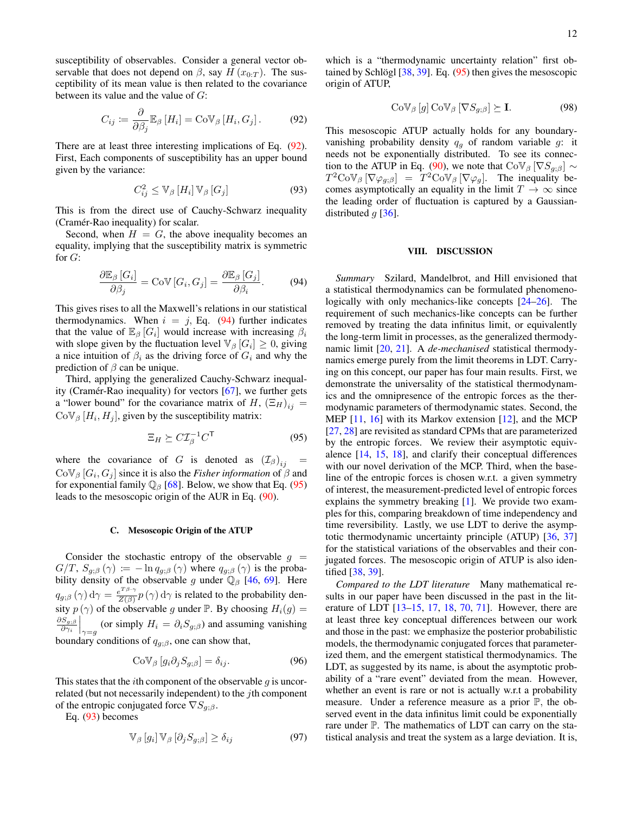susceptibility of observables. Consider a general vector observable that does not depend on  $\beta$ , say  $H(x_{0:T})$ . The susceptibility of its mean value is then related to the covariance between its value and the value of G:

$$
C_{ij} \coloneqq \frac{\partial}{\partial \beta_j} \mathbb{E}_{\beta} \left[ H_i \right] = \text{CoV}_{\beta} \left[ H_i, G_j \right]. \tag{92}
$$

There are at least three interesting implications of Eq. [\(92\)](#page-11-1). First, Each components of susceptibility has an upper bound given by the variance:

<span id="page-11-4"></span>
$$
C_{ij}^2 \leq \mathbb{V}_{\beta} \left[ H_i \right] \mathbb{V}_{\beta} \left[ G_j \right] \tag{93}
$$

This is from the direct use of Cauchy-Schwarz inequality (Cramér-Rao inequality) for scalar.

Second, when  $H = G$ , the above inequality becomes an equality, implying that the susceptibility matrix is symmetric for  $G$ :

<span id="page-11-2"></span>
$$
\frac{\partial \mathbb{E}_{\beta}[G_i]}{\partial \beta_j} = \text{CoV}[G_i, G_j] = \frac{\partial \mathbb{E}_{\beta}[G_j]}{\partial \beta_i}.
$$
 (94)

This gives rises to all the Maxwell's relations in our statistical thermodynamics. When  $i = j$ , Eq. [\(94\)](#page-11-2) further indicates that the value of  $\mathbb{E}_{\beta}$  [ $G_i$ ] would increase with increasing  $\beta_i$ with slope given by the fluctuation level  $\mathbb{V}_{\beta}$   $[G_i] \geq 0$ , giving a nice intuition of  $\beta_i$  as the driving force of  $G_i$  and why the prediction of  $\beta$  can be unique.

Third, applying the generalized Cauchy-Schwarz inequality (Cramér-Rao inequality) for vectors [\[67\]](#page-15-17), we further gets a "lower bound" for the covariance matrix of H,  $(\Xi_H)_{ij}$  =  $\text{CoV}_{\beta}$  [H<sub>i</sub>, H<sub>j</sub>], given by the susceptibility matrix:

<span id="page-11-3"></span>
$$
\Xi_H \succeq C \mathcal{I}_{\beta}^{-1} C^{\mathsf{T}} \tag{95}
$$

where the covariance of G is denoted as  $(\mathcal{I}_{\beta})_{ij}$  =  $Cov_{\beta} [G_i, G_j]$  since it is also the *Fisher information* of  $\beta$  and for exponential family  $\mathbb{Q}_{\beta}$  [\[68\]](#page-15-18). Below, we show that Eq. [\(95\)](#page-11-3) leads to the mesoscopic origin of the AUR in Eq. [\(90\)](#page-10-2).

#### C. Mesoscopic Origin of the ATUP

Consider the stochastic entropy of the observable  $q =$  $G/T$ ,  $S_{g;\beta}(\gamma) := -\ln q_{g;\beta}(\gamma)$  where  $q_{g;\beta}(\gamma)$  is the probability density of the observable g under  $\mathbb{Q}_{\beta}$  [\[46,](#page-14-36) [69\]](#page-15-19). Here  $q_{g;\beta}\left(\gamma\right)\mathrm{d}\gamma=\frac{e^{T\beta\cdot\gamma}}{Z\left(\beta\right)}$  $\frac{e^{2\pi i/2}}{Z(\beta)} p(\gamma) d\gamma$  is related to the probability density  $p(\gamma)$  of the observable g under P. By choosing  $H_i(g)$  =  $\partial S_{g;\beta}$  $\frac{\partial S_{g;\beta}}{\partial \gamma_i} \bigg|_{\gamma=g}$  (or simply  $H_i = \partial_i S_{g;\beta}$ ) and assuming vanishing boundary conditions of  $q_{q;\beta}$ , one can show that,

$$
Cov_{\beta} [g_i \partial_j S_{g;\beta}] = \delta_{ij}.
$$
 (96)

This states that the *i*th component of the observable  $g$  is uncorrelated (but not necessarily independent) to the jth component of the entropic conjugated force  $\nabla S_{q;\beta}$ .

Eq. [\(93\)](#page-11-4) becomes

$$
\mathbb{V}_{\beta}\left[g_i\right]\mathbb{V}_{\beta}\left[\partial_j S_{g;\beta}\right] \ge \delta_{ij} \tag{97}
$$

which is a "thermodynamic uncertainty relation" first obtained by Schlögl [\[38,](#page-14-29) [39\]](#page-14-30). Eq. [\(95\)](#page-11-3) then gives the mesoscopic origin of ATUP,

$$
Cov_{\beta}[g] Cov_{\beta} [\nabla S_{g;\beta}] \succeq I.
$$
 (98)

<span id="page-11-1"></span>This mesoscopic ATUP actually holds for any boundaryvanishing probability density  $q_{q}$  of random variable q: it needs not be exponentially distributed. To see its connec-tion to the ATUP in Eq. [\(90\)](#page-10-2), we note that  $\text{CoV}_{\beta} [\nabla S_{q;\beta}] \sim$  $T^2 \text{CoV}_{\beta} [\nabla \varphi_{g;\beta}] = T^2 \text{CoV}_{\beta} [\nabla \varphi_g].$  The inequality becomes asymptotically an equality in the limit  $T \to \infty$  since the leading order of fluctuation is captured by a Gaussiandistributed  $g$  [\[36\]](#page-14-27).

#### <span id="page-11-0"></span>VIII. DISCUSSION

*Summary* Szilard, Mandelbrot, and Hill envisioned that a statistical thermodynamics can be formulated phenomenologically with only mechanics-like concepts  $[24-26]$  $[24-26]$ . The requirement of such mechanics-like concepts can be further removed by treating the data infinitus limit, or equivalently the long-term limit in processes, as the generalized thermodynamic limit [\[20,](#page-14-15) [21\]](#page-14-16). A *de-mechanised* statistical thermodynamics emerge purely from the limit theorems in LDT. Carrying on this concept, our paper has four main results. First, we demonstrate the universality of the statistical thermodynamics and the omnipresence of the entropic forces as the thermodynamic parameters of thermodynamic states. Second, the MEP [\[11,](#page-14-8) [16\]](#page-14-10) with its Markov extension [\[12\]](#page-14-38), and the MCP [\[27,](#page-14-22) [28\]](#page-14-23) are revisited as standard CPMs that are parameterized by the entropic forces. We review their asymptotic equivalence [\[14,](#page-14-21) [15,](#page-14-9) [18\]](#page-14-11), and clarify their conceptual differences with our novel derivation of the MCP. Third, when the baseline of the entropic forces is chosen w.r.t. a given symmetry of interest, the measurement-predicted level of entropic forces explains the symmetry breaking [\[1\]](#page-14-0). We provide two examples for this, comparing breakdown of time independency and time reversibility. Lastly, we use LDT to derive the asymptotic thermodynamic uncertainty principle (ATUP) [\[36,](#page-14-27) [37\]](#page-14-28) for the statistical variations of the observables and their conjugated forces. The mesoscopic origin of ATUP is also identified [\[38,](#page-14-29) [39\]](#page-14-30).

*Compared to the LDT literature* Many mathematical results in our paper have been discussed in the past in the literature of LDT [\[13–](#page-14-12)[15,](#page-14-9) [17,](#page-14-13) [18,](#page-14-11) [70,](#page-15-20) [71\]](#page-15-21). However, there are at least three key conceptual differences between our work and those in the past: we emphasize the posterior probabilistic models, the thermodynamic conjugated forces that parameterized them, and the emergent statistical thermodynamics. The LDT, as suggested by its name, is about the asymptotic probability of a "rare event" deviated from the mean. However, whether an event is rare or not is actually w.r.t a probability measure. Under a reference measure as a prior P, the observed event in the data infinitus limit could be exponentially rare under P. The mathematics of LDT can carry on the statistical analysis and treat the system as a large deviation. It is,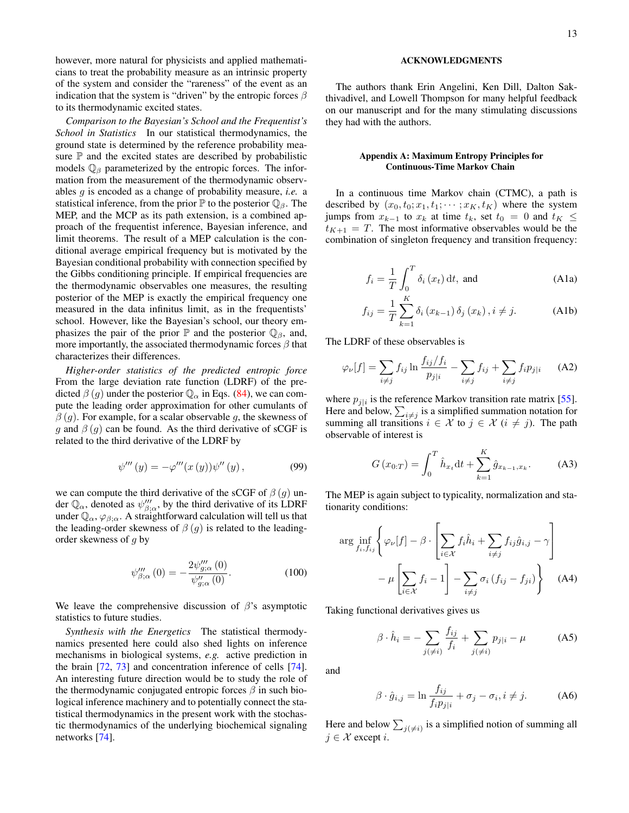however, more natural for physicists and applied mathematicians to treat the probability measure as an intrinsic property of the system and consider the "rareness" of the event as an indication that the system is "driven" by the entropic forces  $\beta$ to its thermodynamic excited states.

*Comparison to the Bayesian's School and the Frequentist's School in Statistics* In our statistical thermodynamics, the ground state is determined by the reference probability measure  $\mathbb P$  and the excited states are described by probabilistic models  $\mathbb{Q}_{\beta}$  parameterized by the entropic forces. The information from the measurement of the thermodynamic observables g is encoded as a change of probability measure, *i.e.* a statistical inference, from the prior  $\mathbb P$  to the posterior  $\mathbb Q_\beta$ . The MEP, and the MCP as its path extension, is a combined approach of the frequentist inference, Bayesian inference, and limit theorems. The result of a MEP calculation is the conditional average empirical frequency but is motivated by the Bayesian conditional probability with connection specified by the Gibbs conditioning principle. If empirical frequencies are the thermodynamic observables one measures, the resulting posterior of the MEP is exactly the empirical frequency one measured in the data infinitus limit, as in the frequentists' school. However, like the Bayesian's school, our theory emphasizes the pair of the prior  $\mathbb P$  and the posterior  $\mathbb Q_\beta$ , and, more importantly, the associated thermodynamic forces  $\beta$  that characterizes their differences.

*Higher-order statistics of the predicted entropic force* From the large deviation rate function (LDRF) of the predicted  $\beta(g)$  under the posterior  $\mathbb{Q}_{\alpha}$  in Eqs. [\(84\)](#page-10-3), we can compute the leading order approximation for other cumulants of  $\beta(g)$ . For example, for a scalar observable g, the skewness of g and  $\beta$  (g) can be found. As the third derivative of sCGF is related to the third derivative of the LDRF by

$$
\psi'''(y) = -\varphi'''(x(y))\psi''(y), \qquad (99)
$$

we can compute the third derivative of the sCGF of  $\beta$  (g) under  $\mathbb{Q}_{\alpha}$ , denoted as  $\psi_{\beta;\alpha}^{\prime\prime\prime}$ , by the third derivative of its LDRF under  $\mathbb{Q}_{\alpha}$ ,  $\varphi_{\beta;\alpha}$ . A straightforward calculation will tell us that the leading-order skewness of  $\beta(g)$  is related to the leadingorder skewness of g by

$$
\psi_{\beta;\alpha}'''(0) = -\frac{2\psi_{g;\alpha}'''(0)}{\psi_{g;\alpha}''(0)}.
$$
\n(100)

We leave the comprehensive discussion of  $\beta$ 's asymptotic statistics to future studies.

*Synthesis with the Energetics* The statistical thermodynamics presented here could also shed lights on inference mechanisms in biological systems, *e.g.* active prediction in the brain [\[72,](#page-15-22) [73\]](#page-15-23) and concentration inference of cells [\[74\]](#page-15-24). An interesting future direction would be to study the role of the thermodynamic conjugated entropic forces  $\beta$  in such biological inference machinery and to potentially connect the statistical thermodynamics in the present work with the stochastic thermodynamics of the underlying biochemical signaling networks [\[74\]](#page-15-24).

The authors thank Erin Angelini, Ken Dill, Dalton Sakthivadivel, and Lowell Thompson for many helpful feedback on our manuscript and for the many stimulating discussions they had with the authors.

### Appendix A: Maximum Entropy Principles for Continuous-Time Markov Chain

In a continuous time Markov chain (CTMC), a path is described by  $(x_0, t_0; x_1, t_1; \dots; x_K, t_K)$  where the system jumps from  $x_{k-1}$  to  $x_k$  at time  $t_k$ , set  $t_0 = 0$  and  $t_K \leq$  $t_{K+1} = T$ . The most informative observables would be the combination of singleton frequency and transition frequency:

$$
f_i = \frac{1}{T} \int_0^T \delta_i(x_t) \, \mathrm{d}t, \text{ and} \tag{A1a}
$$

$$
f_{ij} = \frac{1}{T} \sum_{k=1}^{K} \delta_i (x_{k-1}) \, \delta_j (x_k), i \neq j. \tag{A1b}
$$

The LDRF of these observables is

$$
\varphi_{\nu}[f] = \sum_{i \neq j} f_{ij} \ln \frac{f_{ij}/f_i}{p_{j|i}} - \sum_{i \neq j} f_{ij} + \sum_{i \neq j} f_i p_{j|i} \qquad (A2)
$$

where  $p_{j|i}$  is the reference Markov transition rate matrix [\[55\]](#page-15-6). Here and below,  $\sum_{i \neq j}$  is a simplified summation notation for summing all transitions  $i \in \mathcal{X}$  to  $j \in \mathcal{X}$   $(i \neq j)$ . The path observable of interest is

$$
G(x_{0:T}) = \int_0^T \hat{h}_{x_t} dt + \sum_{k=1}^K \hat{g}_{x_{k-1},x_k}.
$$
 (A3)

The MEP is again subject to typicality, normalization and stationarity conditions:

$$
\arg\inf_{f_i, f_{ij}} \left\{ \varphi_{\nu}[f] - \beta \cdot \left[ \sum_{i \in \mathcal{X}} f_i \hat{h}_i + \sum_{i \neq j} f_{ij} \hat{g}_{i,j} - \gamma \right] - \mu \left[ \sum_{i \in \mathcal{X}} f_i - 1 \right] - \sum_{i \neq j} \sigma_i (f_{ij} - f_{ji}) \right\}
$$
(A4)

Taking functional derivatives gives us

<span id="page-12-2"></span><span id="page-12-1"></span>
$$
\beta \cdot \hat{h}_i = -\sum_{j(\neq i)} \frac{f_{ij}}{f_i} + \sum_{j(\neq i)} p_{j|i} - \mu \tag{A5}
$$

and

<span id="page-12-0"></span>
$$
\beta \cdot \hat{g}_{i,j} = \ln \frac{f_{ij}}{f_i p_{j|i}} + \sigma_j - \sigma_i, i \neq j.
$$
 (A6)

Here and below  $\sum_{j(\neq i)}$  is a simplified notion of summing all  $j \in \mathcal{X}$  except i.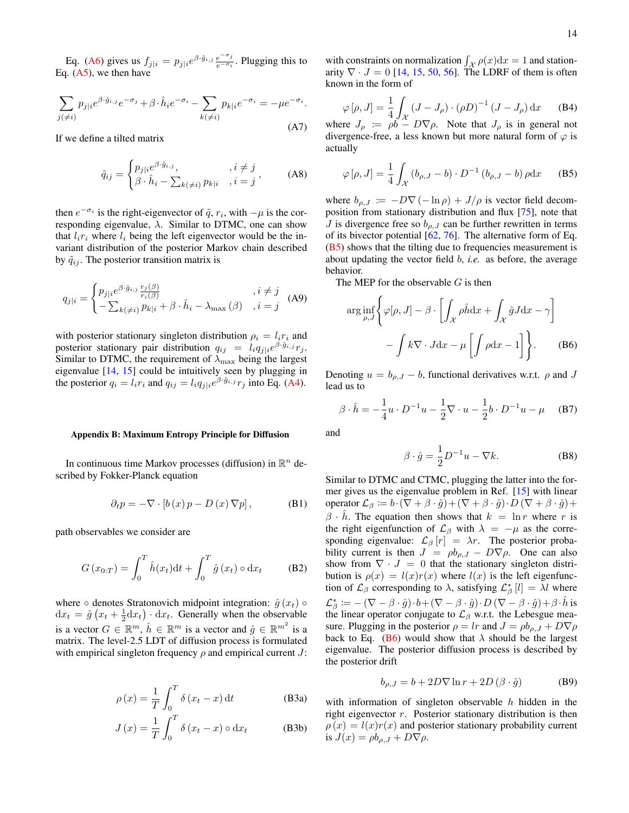Eq. [\(A6\)](#page-12-0) gives us  $f_{j|i} = p_{j|i}e^{\beta \cdot \hat{g}_{i,j}} \frac{e^{-\sigma_j}}{e^{-\sigma_i}}$  $\frac{e^{-\sigma_j}}{e^{-\sigma_i}}$ . Plugging this to Eq.  $(A5)$ , we then have

$$
\sum_{j(\neq i)} p_{j|i} e^{\beta \cdot \hat{g}_{i,j}} e^{-\sigma_j} + \beta \cdot \hat{h}_i e^{-\sigma_i} - \sum_{k(\neq i)} p_{k|i} e^{-\sigma_i} = -\mu e^{-\sigma_i}.
$$
\n(A7)

If we define a tilted matrix

$$
\tilde{q}_{ij} = \begin{cases} p_{j|i}e^{\beta \cdot \hat{g}_{i,j}}, & , i \neq j \\ \beta \cdot \hat{h}_i - \sum_{k(\neq i)} p_{k|i}, & , i = j \end{cases}
$$
 (A8)

then  $e^{-\sigma_i}$  is the right-eigenvector of  $\tilde{q}$ ,  $r_i$ , with  $-\mu$  is the corresponding eigenvalue,  $\lambda$ . Similar to DTMC, one can show that  $l_i r_i$  where  $l_i$  being the left eigenvector would be the invariant distribution of the posterior Markov chain described by  $\tilde{q}_{ij}$ . The posterior transition matrix is

$$
q_{j|i} = \begin{cases} p_{j|i}e^{\beta \cdot \hat{g}_{i,j}} \frac{r_j(\beta)}{r_i(\beta)} & , i \neq j \\ -\sum_{k(\neq i)} p_{k|i} + \beta \cdot \hat{h}_i - \lambda_{\max}(\beta) & , i = j \end{cases}
$$
 (A9)

with posterior stationary singleton distribution  $\rho_i = l_i r_i$  and posterior stationary pair distribution  $q_{ij} = l_i q_{j|i} e^{\beta \cdot \hat{g}_{i,j}} r_j$ . Similar to DTMC, the requirement of  $\lambda_{\text{max}}$  being the largest eigenvalue [\[14,](#page-14-21) [15\]](#page-14-9) could be intuitively seen by plugging in the posterior  $q_i = l_i r_i$  and  $q_{ij} = l_i q_{j|i} e^{\beta \cdot \hat{g}_{i,j}} r_j$  into Eq. [\(A4\)](#page-12-2).

#### Appendix B: Maximum Entropy Principle for Diffusion

In continuous time Markov processes (diffusion) in  $\mathbb{R}^n$  described by Fokker-Planck equation

$$
\partial_t p = -\nabla \cdot [b(x) p - D(x) \nabla p], \quad (B1)
$$

path observables we consider are

$$
G(x_{0:T}) = \int_0^T \hat{h}(x_t) dt + \int_0^T \hat{g}(x_t) \circ dx_t
$$
 (B2)

where  $\circ$  denotes Stratonovich midpoint integration:  $\hat{g}(x_t)$   $\circ$  $dx_t = \hat{g}(x_t + \frac{1}{2}dx_t) \cdot dx_t$ . Generally when the observable is a vector  $G \in \mathbb{R}^m$ ,  $\hat{h} \in \mathbb{R}^m$  is a vector and  $\hat{g} \in \mathbb{R}^{m^2}$  is a matrix. The level-2.5 LDT of diffusion process is formulated with empirical singleton frequency  $\rho$  and empirical current J:

$$
\rho(x) = \frac{1}{T} \int_0^T \delta(x_t - x) dt
$$
 (B3a)

$$
J(x) = \frac{1}{T} \int_0^T \delta(x_t - x) \circ dx_t
$$
 (B3b)

with constraints on normalization  $\int_{\mathcal{X}} \rho(x) dx = 1$  and stationarity  $\nabla \cdot J = 0$  [\[14,](#page-14-21) [15,](#page-14-9) [50,](#page-15-2) [56\]](#page-15-7). The LDRF of them is often known in the form of

$$
\varphi[\rho, J] = \frac{1}{4} \int_{\mathcal{X}} (J - J_{\rho}) \cdot (\rho D)^{-1} (J - J_{\rho}) dx
$$
 (B4)

where  $J_\rho := \rho b - D\sqrt{\rho}$ . Note that  $J_\rho$  is in general not divergence-free, a less known but more natural form of  $\varphi$  is actually

<span id="page-13-1"></span>
$$
\varphi[\rho, J] = \frac{1}{4} \int_{\mathcal{X}} (b_{\rho, J} - b) \cdot D^{-1} (b_{\rho, J} - b) \rho \mathrm{d}x \qquad (B5)
$$

where  $b_{\rho,J} := -D\nabla \left(-\ln \rho\right) + J/\rho$  is vector field decomposition from stationary distribution and flux [\[75\]](#page-15-25), note that J is divergence free so  $b_{\rho,J}$  can be further rewritten in terms of its bivector potential [\[62,](#page-15-13) [76\]](#page-15-26). The alternative form of Eq. [\(B5\)](#page-13-1) shows that the tilting due to frequencies measurement is about updating the vector field b, *i.e.* as before, the average behavior.

The MEP for the observable  $G$  is then

$$
\arg\inf_{\rho,J} \left\{ \varphi[\rho,J] - \beta \cdot \left[ \int_{\mathcal{X}} \rho \hat{h} \, dx + \int_{\mathcal{X}} \hat{g} J \, dx - \gamma \right] - \int k \nabla \cdot J \, dx - \mu \left[ \int \rho \, dx - 1 \right] \right\}.
$$
 (B6)

Denoting  $u = b_{\rho,J} - b$ , functional derivatives w.r.t.  $\rho$  and J lead us to

$$
\beta \cdot \hat{h} = -\frac{1}{4}u \cdot D^{-1}u - \frac{1}{2}\nabla \cdot u - \frac{1}{2}b \cdot D^{-1}u - \mu \quad (B7)
$$

and

<span id="page-13-2"></span>
$$
\beta \cdot \hat{g} = \frac{1}{2} D^{-1} u - \nabla k.
$$
 (B8)

Similar to DTMC and CTMC, plugging the latter into the former gives us the eigenvalue problem in Ref. [\[15\]](#page-14-9) with linear operator  $\mathcal{L}_{\beta} \coloneqq b \cdot (\nabla + \beta \cdot \hat{g}) + (\nabla + \beta \cdot \hat{g}) \cdot D (\nabla + \beta \cdot \hat{g}) +$  $\beta \cdot h$ . The equation then shows that  $k = \ln r$  where r is the right eigenfunction of  $\mathcal{L}_{\beta}$  with  $\lambda = -\mu$  as the corresponding eigenvalue:  $\mathcal{L}_{\beta} [r] = \lambda r$ . The posterior probability current is then  $J = \rho b_{\rho,J} - D \nabla \rho$ . One can also show from  $\nabla \cdot J = 0$  that the stationary singleton distribution is  $\rho(x) = l(x)r(x)$  where  $l(x)$  is the left eigenfunction of  $\mathcal{L}_{\beta}$  corresponding to  $\lambda$ , satisfying  $\mathcal{L}_{\beta}^{*}[l] = \lambda l$  where  $\mathcal{L}^*_\beta \coloneqq -\,(\nabla - \beta \cdot \hat{g}) \cdot b + (\nabla - \beta \cdot \hat{g}) \cdot D\,(\nabla - \beta \cdot \hat{g}) + \beta \cdot \hat{h}$  is the linear operator conjugate to  $\mathcal{L}_{\beta}$  w.r.t. the Lebesgue measure. Plugging in the posterior  $\rho = lr$  and  $J = \rho b_{\rho,J} + D \nabla \rho$ back to Eq. [\(B6\)](#page-13-2) would show that  $\lambda$  should be the largest eigenvalue. The posterior diffusion process is described by the posterior drift

<span id="page-13-0"></span>
$$
b_{\rho,J} = b + 2D\nabla \ln r + 2D(\beta \cdot \hat{g})
$$
 (B9)

with information of singleton observable  $h$  hidden in the right eigenvector  $r$ . Posterior stationary distribution is then  $\rho(x) = l(x)r(x)$  and posterior stationary probability current is  $J(x) = \rho b_{\rho,J} + D \nabla \rho$ .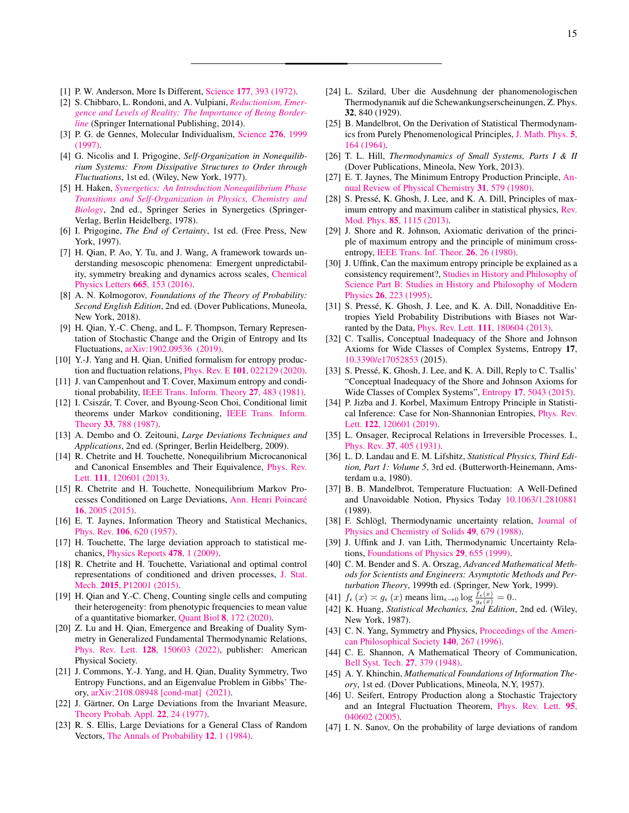15

- <span id="page-14-0"></span>[1] P. W. Anderson, More Is Different, Science 177[, 393 \(1972\).](https://doi.org/10.1126/science.177.4047.393)
- <span id="page-14-1"></span>[2] S. Chibbaro, L. Rondoni, and A. Vulpiani, *[Reductionism, Emer](https://doi.org/10.1007/978-3-319-06361-4)[gence and Levels of Reality: The Importance of Being Border](https://doi.org/10.1007/978-3-319-06361-4)[line](https://doi.org/10.1007/978-3-319-06361-4)* (Springer International Publishing, 2014).
- <span id="page-14-2"></span>[3] P. G. de Gennes, Molecular Individualism, [Science](http://www.jstor.org/stable/2892964) 276, 1999 [\(1997\).](http://www.jstor.org/stable/2892964)
- <span id="page-14-3"></span>[4] G. Nicolis and I. Prigogine, *Self-Organization in Nonequilibrium Systems: From Dissipative Structures to Order through Fluctuations*, 1st ed. (Wiley, New York, 1977).
- [5] H. Haken, *[Synergetics: An Introduction Nonequilibrium Phase](https://www.springer.com/gp/book/9783642964695) [Transitions and Self-Organization in Physics, Chemistry and](https://www.springer.com/gp/book/9783642964695) [Biology](https://www.springer.com/gp/book/9783642964695)*, 2nd ed., Springer Series in Synergetics (Springer-Verlag, Berlin Heidelberg, 1978).
- [6] I. Prigogine, *The End of Certainty*, 1st ed. (Free Press, New York, 1997).
- <span id="page-14-4"></span>[7] H. Qian, P. Ao, Y. Tu, and J. Wang, A framework towards understanding mesoscopic phenomena: Emergent unpredictability, symmetry breaking and dynamics across scales, [Chemical](https://doi.org/10.1016/j.cplett.2016.10.059) [Physics Letters](https://doi.org/10.1016/j.cplett.2016.10.059) 665, 153 (2016).
- <span id="page-14-5"></span>[8] A. N. Kolmogorov, *Foundations of the Theory of Probability: Second English Edition*, 2nd ed. (Dover Publications, Muneola, New York, 2018).
- <span id="page-14-6"></span>[9] H. Qian, Y.-C. Cheng, and L. F. Thompson, Ternary Representation of Stochastic Change and the Origin of Entropy and Its Fluctuations, [arXiv:1902.09536 \(2019\).](http://arxiv.org/abs/1902.09536)
- <span id="page-14-7"></span>[10] Y.-J. Yang and H. Qian, Unified formalism for entropy production and fluctuation relations, Phys. Rev. E 101[, 022129 \(2020\).](https://doi.org/10.1103/PhysRevE.101.022129)
- <span id="page-14-8"></span>[11] J. van Campenhout and T. Cover, Maximum entropy and conditional probability, [IEEE Trans. Inform. Theory](https://doi.org/10.1109/TIT.1981.1056374) 27, 483 (1981).
- <span id="page-14-38"></span>[12] I. Csiszár, T. Cover, and Byoung-Seon Choi, Conditional limit theorems under Markov conditioning, [IEEE Trans. Inform.](https://doi.org/10.1109/TIT.1987.1057385) Theory 33[, 788 \(1987\).](https://doi.org/10.1109/TIT.1987.1057385)
- <span id="page-14-12"></span>[13] A. Dembo and O. Zeitouni, *Large Deviations Techniques and Applications*, 2nd ed. (Springer, Berlin Heidelberg, 2009).
- <span id="page-14-21"></span>[14] R. Chetrite and H. Touchette, Nonequilibrium Microcanonical and Canonical Ensembles and Their Equivalence, [Phys. Rev.](https://doi.org/10.1103/PhysRevLett.111.120601) Lett. 111[, 120601 \(2013\).](https://doi.org/10.1103/PhysRevLett.111.120601)
- <span id="page-14-9"></span>[15] R. Chetrite and H. Touchette, Nonequilibrium Markov Processes Conditioned on Large Deviations, [Ann. Henri Poincaré](https://doi.org/10.1007/s00023-014-0375-8) 16[, 2005 \(2015\).](https://doi.org/10.1007/s00023-014-0375-8)
- <span id="page-14-10"></span>[16] E. T. Jaynes, Information Theory and Statistical Mechanics, Phys. Rev. 106[, 620 \(1957\).](https://doi.org/10.1103/PhysRev.106.620)
- <span id="page-14-13"></span>[17] H. Touchette, The large deviation approach to statistical mechanics, [Physics Reports](https://doi.org/10.1016/j.physrep.2009.05.002) 478, 1 (2009).
- <span id="page-14-11"></span>[18] R. Chetrite and H. Touchette, Variational and optimal control representations of conditioned and driven processes, [J. Stat.](https://doi.org/10.1088/1742-5468/2015/12/P12001) Mech. 2015[, P12001 \(2015\).](https://doi.org/10.1088/1742-5468/2015/12/P12001)
- <span id="page-14-14"></span>[19] H. Qian and Y.-C. Cheng, Counting single cells and computing their heterogeneity: from phenotypic frequencies to mean value of a quantitative biomarker, Quant Biol 8[, 172 \(2020\).](https://doi.org/10.1007/s40484-020-0196-3)
- <span id="page-14-15"></span>[20] Z. Lu and H. Qian, Emergence and Breaking of Duality Symmetry in Generalized Fundamental Thermodynamic Relations, Phys. Rev. Lett. 128[, 150603 \(2022\),](https://doi.org/10.1103/PhysRevLett.128.150603) publisher: American Physical Society.
- <span id="page-14-16"></span>[21] J. Commons, Y.-J. Yang, and H. Qian, Duality Symmetry, Two Entropy Functions, and an Eigenvalue Problem in Gibbs' Theory, [arXiv:2108.08948 \[cond-mat\] \(2021\).](http://arxiv.org/abs/2108.08948)
- <span id="page-14-17"></span>[22] J. Gärtner, On Large Deviations from the Invariant Measure, [Theory Probab. Appl.](https://doi.org/10.1137/1122003) 22, 24 (1977).
- <span id="page-14-18"></span>[23] R. S. Ellis, Large Deviations for a General Class of Random Vectors, [The Annals of Probability](https://doi.org/10.1214/aop/1176993370) 12, 1 (1984).
- <span id="page-14-19"></span>[24] L. Szilard, Uber die Ausdehnung der phanomenologischen Thermodynamik auf die Schewankungserscheinungen, Z. Phys. 32, 840 (1929).
- [25] B. Mandelbrot, On the Derivation of Statistical Thermodynamics from Purely Phenomenological Principles, [J. Math. Phys.](https://doi.org/10.1063/1.1704105) 5, [164 \(1964\).](https://doi.org/10.1063/1.1704105)
- <span id="page-14-20"></span>[26] T. L. Hill, *Thermodynamics of Small Systems, Parts I & II* (Dover Publications, Mineola, New York, 2013).
- <span id="page-14-22"></span>[27] E. T. Jaynes, The Minimum Entropy Production Principle, [An](https://doi.org/10.1146/annurev.pc.31.100180.003051)[nual Review of Physical Chemistry](https://doi.org/10.1146/annurev.pc.31.100180.003051) 31, 579 (1980).
- <span id="page-14-23"></span>[28] S. Pressé, K. Ghosh, J. Lee, and K. A. Dill, Principles of maximum entropy and maximum caliber in statistical physics, [Rev.](https://doi.org/10.1103/RevModPhys.85.1115) Mod. Phys. 85[, 1115 \(2013\).](https://doi.org/10.1103/RevModPhys.85.1115)
- <span id="page-14-24"></span>[29] J. Shore and R. Johnson, Axiomatic derivation of the principle of maximum entropy and the principle of minimum crossentropy, [IEEE Trans. Inf. Theor.](https://doi.org/10.1109/TIT.1980.1056144) 26, 26 (1980).
- [30] J. Uffink, Can the maximum entropy principle be explained as a consistency requirement?, [Studies in History and Philosophy of](https://doi.org/10.1016/1355-2198(95)00015-1) [Science Part B: Studies in History and Philosophy of Modern](https://doi.org/10.1016/1355-2198(95)00015-1) Physics 26[, 223 \(1995\).](https://doi.org/10.1016/1355-2198(95)00015-1)
- [31] S. Pressé, K. Ghosh, J. Lee, and K. A. Dill, Nonadditive Entropies Yield Probability Distributions with Biases not Warranted by the Data, Phys. Rev. Lett. 111[, 180604 \(2013\).](https://doi.org/10.1103/PhysRevLett.111.180604)
- [32] C. Tsallis, Conceptual Inadequacy of the Shore and Johnson Axioms for Wide Classes of Complex Systems, Entropy 17, [10.3390/e17052853](https://doi.org/10.3390/e17052853) (2015).
- [33] S. Pressé, K. Ghosh, J. Lee, and K. A. Dill, Reply to C. Tsallis' "Conceptual Inadequacy of the Shore and Johnson Axioms for Wide Classes of Complex Systems", Entropy 17[, 5043 \(2015\).](https://doi.org/10.3390/e17075043)
- <span id="page-14-25"></span>[34] P. Jizba and J. Korbel, Maximum Entropy Principle in Statistical Inference: Case for Non-Shannonian Entropies, [Phys. Rev.](https://doi.org/10.1103/PhysRevLett.122.120601) Lett. 122[, 120601 \(2019\).](https://doi.org/10.1103/PhysRevLett.122.120601)
- <span id="page-14-26"></span>[35] L. Onsager, Reciprocal Relations in Irreversible Processes. I., Phys. Rev. 37[, 405 \(1931\).](https://doi.org/10.1103/PhysRev.37.405)
- <span id="page-14-27"></span>[36] L. D. Landau and E. M. Lifshitz, *Statistical Physics, Third Edition, Part 1: Volume 5*, 3rd ed. (Butterworth-Heinemann, Amsterdam u.a, 1980).
- <span id="page-14-28"></span>[37] B. B. Mandelbrot, Temperature Fluctuation: A Well-Defined and Unavoidable Notion, Physics Today [10.1063/1.2810881](https://doi.org/10.1063/1.2810881) (1989).
- <span id="page-14-29"></span>[38] F. Schlögl, Thermodynamic uncertainty relation, [Journal of](https://doi.org/10.1016/0022-3697(88)90200-4) [Physics and Chemistry of Solids](https://doi.org/10.1016/0022-3697(88)90200-4) 49, 679 (1988).
- <span id="page-14-30"></span>[39] J. Uffink and J. van Lith, Thermodynamic Uncertainty Relations, [Foundations of Physics](https://doi.org/10.1023/A:1018811305766) 29, 655 (1999).
- <span id="page-14-31"></span>[40] C. M. Bender and S. A. Orszag, *Advanced Mathematical Methods for Scientists and Engineers: Asymptotic Methods and Perturbation Theory*, 1999th ed. (Springer, New York, 1999).
- <span id="page-14-32"></span>[41]  $f_{\epsilon}(x) \approx g_{\epsilon}(x)$  means  $\lim_{\epsilon \to 0} \log \frac{f_{\epsilon}(x)}{g_{\epsilon}(x)} = 0$ .
- <span id="page-14-33"></span>[42] K. Huang, *Statistical Mechanics, 2nd Edition*, 2nd ed. (Wiley, New York, 1987).
- <span id="page-14-34"></span>[43] C. N. Yang, Symmetry and Physics, [Proceedings of the Ameri](http://www.jstor.org/stable/987310)[can Philosophical Society](http://www.jstor.org/stable/987310) 140, 267 (1996).
- <span id="page-14-35"></span>[44] C. E. Shannon, A Mathematical Theory of Communication, [Bell Syst. Tech.](https://doi.org/10.1002/j.1538-7305.1948.tb01338.x) 27, 379 (1948).
- [45] A. Y. Khinchin, *Mathematical Foundations of Information Theory*, 1st ed. (Dover Publications, Mineola, N.Y, 1957).
- <span id="page-14-36"></span>[46] U. Seifert, Entropy Production along a Stochastic Trajectory and an Integral Fluctuation Theorem, [Phys. Rev. Lett.](https://doi.org/10.1103/PhysRevLett.95.040602) 95, [040602 \(2005\).](https://doi.org/10.1103/PhysRevLett.95.040602)
- <span id="page-14-37"></span>[47] I. N. Sanov, On the probability of large deviations of random